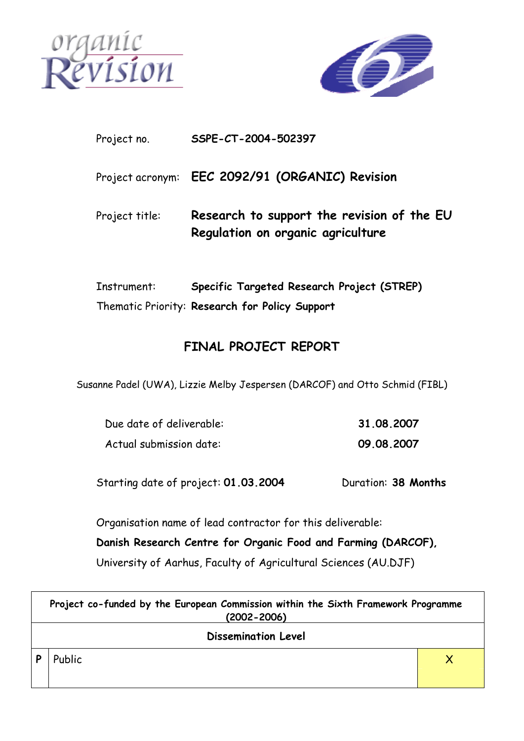



### Project no. **SSPE-CT-2004-502397**

Project acronym: **EEC 2092/91 (ORGANIC) Revision** 

Project title: **Research to support the revision of the EU Regulation on organic agriculture** 

Instrument: **Specific Targeted Research Project (STREP)**  Thematic Priority: **Research for Policy Support** 

# **FINAL PROJECT REPORT**

Susanne Padel (UWA), Lizzie Melby Jespersen (DARCOF) and Otto Schmid (FIBL)

| Due date of deliverable: | 31.08.2007 |
|--------------------------|------------|
| Actual submission date:  | 09.08.2007 |

Starting date of project: **01.03.2004** Duration: **38 Months** 

Organisation name of lead contractor for this deliverable:

**Danish Research Centre for Organic Food and Farming (DARCOF),**  University of Aarhus, Faculty of Agricultural Sciences (AU.DJF)

|                            | Project co-funded by the European Commission within the Sixth Framework Programme<br>$(2002 - 2006)$ |  |  |  |
|----------------------------|------------------------------------------------------------------------------------------------------|--|--|--|
| <b>Dissemination Level</b> |                                                                                                      |  |  |  |
|                            | Public                                                                                               |  |  |  |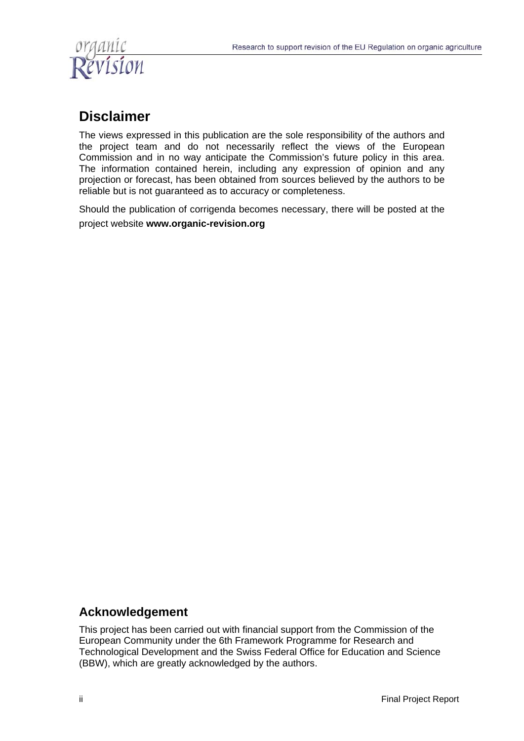

# **Disclaimer**

The views expressed in this publication are the sole responsibility of the authors and the project team and do not necessarily reflect the views of the European Commission and in no way anticipate the Commission's future policy in this area. The information contained herein, including any expression of opinion and any projection or forecast, has been obtained from sources believed by the authors to be reliable but is not guaranteed as to accuracy or completeness.

Should the publication of corrigenda becomes necessary, there will be posted at the project website **www.organic-revision.org**

## **Acknowledgement**

This project has been carried out with financial support from the Commission of the European Community under the 6th Framework Programme for Research and Technological Development and the Swiss Federal Office for Education and Science (BBW), which are greatly acknowledged by the authors.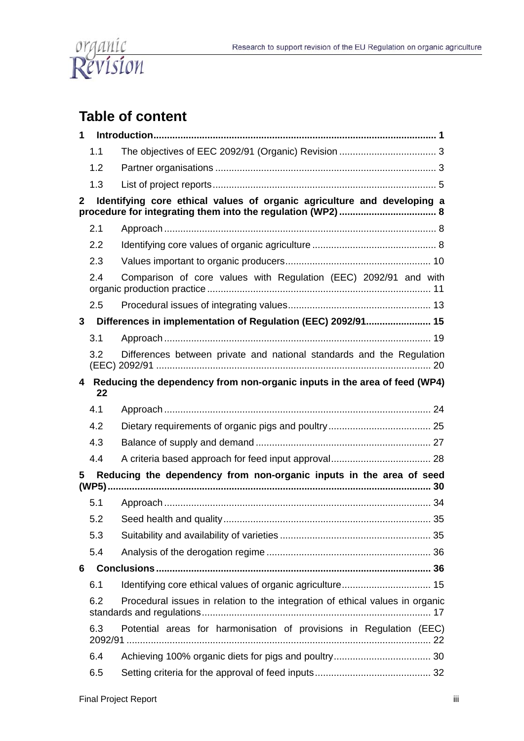

# **Table of content**

| 1            |     |                                                                               |
|--------------|-----|-------------------------------------------------------------------------------|
|              | 1.1 |                                                                               |
|              | 1.2 |                                                                               |
|              | 1.3 |                                                                               |
| $\mathbf{2}$ |     | Identifying core ethical values of organic agriculture and developing a       |
|              | 2.1 |                                                                               |
|              | 2.2 |                                                                               |
|              | 2.3 |                                                                               |
|              | 2.4 | Comparison of core values with Regulation (EEC) 2092/91 and with              |
|              | 2.5 |                                                                               |
| $\mathbf{3}$ |     | Differences in implementation of Regulation (EEC) 2092/91 15                  |
|              | 3.1 |                                                                               |
|              | 3.2 | Differences between private and national standards and the Regulation         |
| 4            | 22  | Reducing the dependency from non-organic inputs in the area of feed (WP4)     |
|              | 4.1 |                                                                               |
|              | 4.2 |                                                                               |
|              | 4.3 |                                                                               |
|              | 4.4 |                                                                               |
| 5            |     | Reducing the dependency from non-organic inputs in the area of seed           |
|              | 5.1 |                                                                               |
|              | 5.2 |                                                                               |
|              | 5.3 |                                                                               |
|              | 5.4 |                                                                               |
| 6            |     |                                                                               |
|              | 6.1 |                                                                               |
|              | 6.2 | Procedural issues in relation to the integration of ethical values in organic |
|              | 6.3 | Potential areas for harmonisation of provisions in Regulation (EEC)           |
|              | 6.4 |                                                                               |
|              | 6.5 |                                                                               |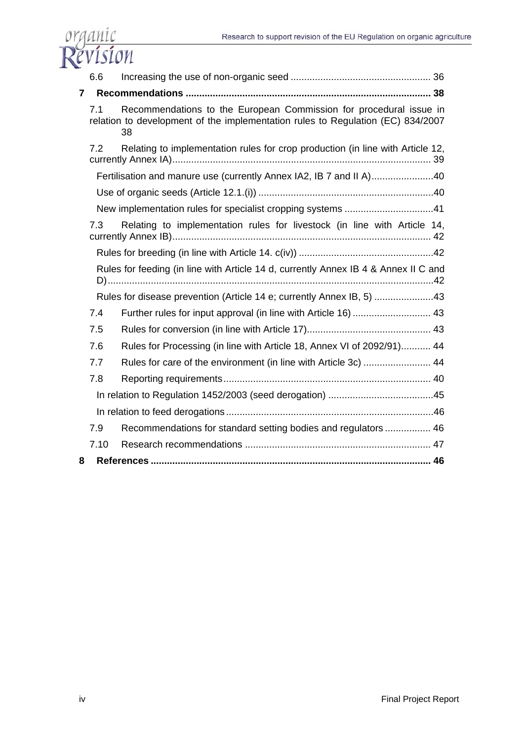

|                | 6.6  |                                                                                                                                                             |  |
|----------------|------|-------------------------------------------------------------------------------------------------------------------------------------------------------------|--|
| $\overline{7}$ |      |                                                                                                                                                             |  |
|                | 7.1  | Recommendations to the European Commission for procedural issue in<br>relation to development of the implementation rules to Regulation (EC) 834/2007<br>38 |  |
|                | 7.2  | Relating to implementation rules for crop production (in line with Article 12,                                                                              |  |
|                |      | Fertilisation and manure use (currently Annex IA2, IB 7 and II A)40                                                                                         |  |
|                |      |                                                                                                                                                             |  |
|                |      | New implementation rules for specialist cropping systems 41                                                                                                 |  |
|                | 7.3  | Relating to implementation rules for livestock (in line with Article 14,                                                                                    |  |
|                |      |                                                                                                                                                             |  |
|                |      | Rules for feeding (in line with Article 14 d, currently Annex IB 4 & Annex II C and                                                                         |  |
|                |      | Rules for disease prevention (Article 14 e; currently Annex IB, 5) 43                                                                                       |  |
|                | 7.4  | Further rules for input approval (in line with Article 16)  43                                                                                              |  |
|                | 7.5  |                                                                                                                                                             |  |
|                | 7.6  | Rules for Processing (in line with Article 18, Annex VI of 2092/91) 44                                                                                      |  |
|                | 7.7  | Rules for care of the environment (in line with Article 3c)  44                                                                                             |  |
|                | 7.8  |                                                                                                                                                             |  |
|                |      |                                                                                                                                                             |  |
|                |      |                                                                                                                                                             |  |
|                | 7.9  | Recommendations for standard setting bodies and regulators 46                                                                                               |  |
|                | 7.10 |                                                                                                                                                             |  |
| 8              |      |                                                                                                                                                             |  |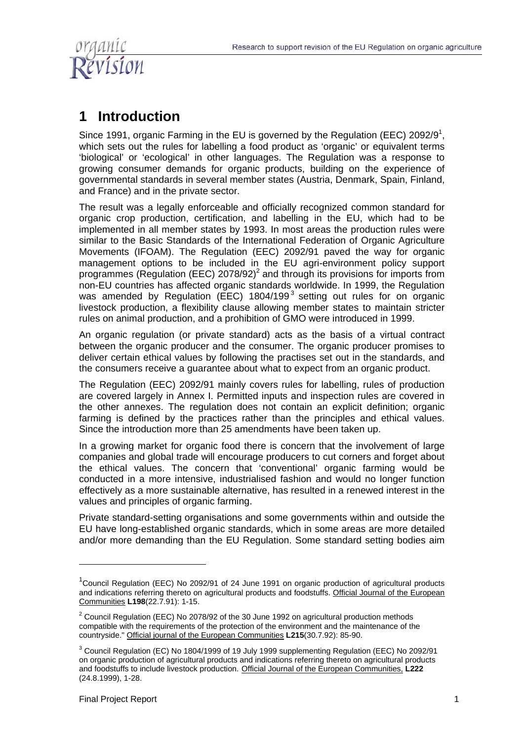

# **1 Introduction**

Since 1991, organic Farming in the EU is governed by the Regulation (EEC) 2092/9<sup>1</sup>, which sets out the rules for labelling a food product as 'organic' or equivalent terms 'biological' or 'ecological' in other languages. The Regulation was a response to growing consumer demands for organic products, building on the experience of governmental standards in several member states (Austria, Denmark, Spain, Finland, and France) and in the private sector.

The result was a legally enforceable and officially recognized common standard for organic crop production, certification, and labelling in the EU, which had to be implemented in all member states by 1993. In most areas the production rules were similar to the Basic Standards of the International Federation of Organic Agriculture Movements (IFOAM). The Regulation (EEC) 2092/91 paved the way for organic management options to be included in the EU agri-environment policy support programmes (Regulation (EEC) 2078/92)<sup>2</sup> and through its provisions for imports from non-EU countries has affected organic standards worldwide. In 1999, the Regulation was amended by Regulation (EEC) 1804/199<sup>3</sup> setting out rules for on organic livestock production, a flexibility clause allowing member states to maintain stricter rules on animal production, and a prohibition of GMO were introduced in 1999.

An organic regulation (or private standard) acts as the basis of a virtual contract between the organic producer and the consumer. The organic producer promises to deliver certain ethical values by following the practises set out in the standards, and the consumers receive a guarantee about what to expect from an organic product.

The Regulation (EEC) 2092/91 mainly covers rules for labelling, rules of production are covered largely in Annex I. Permitted inputs and inspection rules are covered in the other annexes. The regulation does not contain an explicit definition; organic farming is defined by the practices rather than the principles and ethical values. Since the introduction more than 25 amendments have been taken up.

In a growing market for organic food there is concern that the involvement of large companies and global trade will encourage producers to cut corners and forget about the ethical values. The concern that 'conventional' organic farming would be conducted in a more intensive, industrialised fashion and would no longer function effectively as a more sustainable alternative, has resulted in a renewed interest in the values and principles of organic farming.

Private standard-setting organisations and some governments within and outside the EU have long-established organic standards, which in some areas are more detailed and/or more demanding than the EU Regulation. Some standard setting bodies aim

<sup>&</sup>lt;sup>1</sup>Council Regulation (EEC) No 2092/91 of 24 June 1991 on organic production of agricultural products and indications referring thereto on agricultural products and foodstuffs. Official Journal of the European Communities **L198**(22.7.91): 1-15.

 $2$  Council Regulation (EEC) No 2078/92 of the 30 June 1992 on agricultural production methods compatible with the requirements of the protection of the environment and the maintenance of the countryside." Official journal of the European Communities **L215**(30.7.92): 85-90.

 $3$  Council Regulation (EC) No 1804/1999 of 19 July 1999 supplementing Regulation (EEC) No 2092/91 on organic production of agricultural products and indications referring thereto on agricultural products and foodstuffs to include livestock production. Official Journal of the European Communities, **L222**  (24.8.1999), 1-28.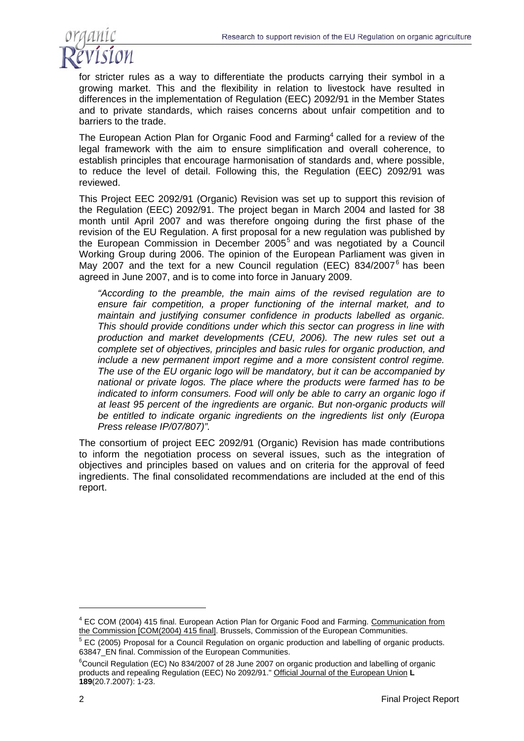

for stricter rules as a way to differentiate the products carrying their symbol in a growing market. This and the flexibility in relation to livestock have resulted in differences in the implementation of Regulation (EEC) 2092/91 in the Member States and to private standards, which raises concerns about unfair competition and to barriers to the trade.

The European Action Plan for Organic Food and Farming<sup>4</sup> called for a review of the legal framework with the aim to ensure simplification and overall coherence, to establish principles that encourage harmonisation of standards and, where possible, to reduce the level of detail. Following this, the Regulation (EEC) 2092/91 was reviewed.

This Project EEC 2092/91 (Organic) Revision was set up to support this revision of the Regulation (EEC) 2092/91. The project began in March 2004 and lasted for 38 month until April 2007 and was therefore ongoing during the first phase of the revision of the EU Regulation. A first proposal for a new regulation was published by the European Commission in December 2005<sup>5</sup> and was negotiated by a Council Working Group during 2006. The opinion of the European Parliament was given in May 2007 and the text for a new Council regulation (EEC) 834/2007<sup>6</sup> has been agreed in June 2007, and is to come into force in January 2009.

*"According to the preamble, the main aims of the revised regulation are to ensure fair competition, a proper functioning of the internal market, and to maintain and justifying consumer confidence in products labelled as organic. This should provide conditions under which this sector can progress in line with production and market developments (CEU, 2006). The new rules set out a complete set of objectives, principles and basic rules for organic production, and include a new permanent import regime and a more consistent control regime. The use of the EU organic logo will be mandatory, but it can be accompanied by national or private logos. The place where the products were farmed has to be indicated to inform consumers. Food will only be able to carry an organic logo if at least 95 percent of the ingredients are organic. But non-organic products will be entitled to indicate organic ingredients on the ingredients list only (Europa Press release IP/07/807)".* 

The consortium of project EEC 2092/91 (Organic) Revision has made contributions to inform the negotiation process on several issues, such as the integration of objectives and principles based on values and on criteria for the approval of feed ingredients. The final consolidated recommendations are included at the end of this report.

 $\overline{a}$ 

<sup>&</sup>lt;sup>4</sup> EC COM (2004) 415 final. European Action Plan for Organic Food and Farming. Communication from the Commission [COM(2004) 415 final]. Brussels, Commission of the European Communities.

<sup>&</sup>lt;sup>5</sup> EC (2005) Proposal for a Council Regulation on organic production and labelling of organic products. 63847 EN final. Commission of the European Communities.

<sup>&</sup>lt;sup>6</sup>Council Regulation (EC) No 834/2007 of 28 June 2007 on organic production and labelling of organic products and repealing Regulation (EEC) No 2092/91." Official Journal of the European Union **L 189**(20.7.2007): 1-23.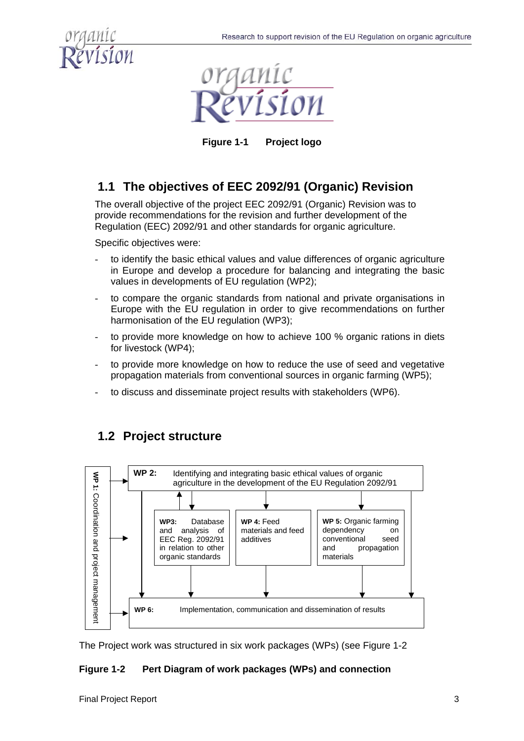



**Figure 1-1 Project logo** 

# **1.1 The objectives of EEC 2092/91 (Organic) Revision**

The overall objective of the project EEC 2092/91 (Organic) Revision was to provide recommendations for the revision and further development of the Regulation (EEC) 2092/91 and other standards for organic agriculture.

Specific objectives were:

- to identify the basic ethical values and value differences of organic agriculture in Europe and develop a procedure for balancing and integrating the basic values in developments of EU regulation (WP2);
- to compare the organic standards from national and private organisations in Europe with the EU regulation in order to give recommendations on further harmonisation of the EU regulation (WP3);
- to provide more knowledge on how to achieve 100 % organic rations in diets for livestock (WP4);
- to provide more knowledge on how to reduce the use of seed and vegetative propagation materials from conventional sources in organic farming (WP5);
- to discuss and disseminate project results with stakeholders (WP6).



# **1.2 Project structure**

The Project work was structured in six work packages (WPs) (see Figure 1-2

#### **Figure 1-2 Pert Diagram of work packages (WPs) and connection**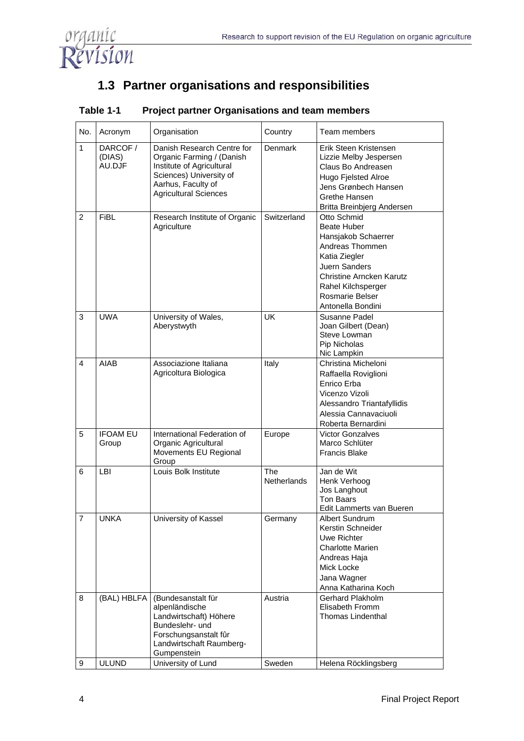

# **1.3 Partner organisations and responsibilities**

| No.                     | Acronym                      | Organisation                                                                                                                                                          | Country                   | Team members                                                                                                                                                                                                   |
|-------------------------|------------------------------|-----------------------------------------------------------------------------------------------------------------------------------------------------------------------|---------------------------|----------------------------------------------------------------------------------------------------------------------------------------------------------------------------------------------------------------|
| $\mathbf{1}$            | DARCOF /<br>(DIAS)<br>AU.DJF | Danish Research Centre for<br>Organic Farming / (Danish<br>Institute of Agricultural<br>Sciences) University of<br>Aarhus, Faculty of<br><b>Agricultural Sciences</b> | Denmark                   | Erik Steen Kristensen<br>Lizzie Melby Jespersen<br>Claus Bo Andreasen<br><b>Hugo Fjelsted Alroe</b><br>Jens Grønbech Hansen<br>Grethe Hansen<br>Britta Breinbjerg Andersen                                     |
| $\overline{2}$          | <b>FiBL</b>                  | Research Institute of Organic<br>Agriculture                                                                                                                          | Switzerland               | Otto Schmid<br>Beate Huber<br>Hansjakob Schaerrer<br>Andreas Thommen<br>Katia Ziegler<br><b>Juern Sanders</b><br><b>Christine Arncken Karutz</b><br>Rahel Kilchsperger<br>Rosmarie Belser<br>Antonella Bondini |
| 3                       | <b>UWA</b>                   | University of Wales,<br>Aberystwyth                                                                                                                                   | <b>UK</b>                 | Susanne Padel<br>Joan Gilbert (Dean)<br>Steve Lowman<br>Pip Nicholas<br>Nic Lampkin                                                                                                                            |
| $\overline{\mathbf{4}}$ | AIAB                         | Associazione Italiana<br>Agricoltura Biologica                                                                                                                        | Italy                     | Christina Micheloni<br>Raffaella Roviglioni<br>Enrico Erba<br>Vicenzo Vizoli<br>Alessandro Triantafyllidis<br>Alessia Cannavaciuoli<br>Roberta Bernardini                                                      |
| 5                       | <b>IFOAM EU</b><br>Group     | International Federation of<br>Organic Agricultural<br>Movements EU Regional<br>Group                                                                                 | Europe                    | <b>Victor Gonzalves</b><br>Marco Schlüter<br><b>Francis Blake</b>                                                                                                                                              |
| 6                       | <b>LBI</b>                   | Louis Bolk Institute                                                                                                                                                  | The<br><b>Netherlands</b> | Jan de Wit<br>Henk Verhoog<br>Jos Langhout<br><b>Ton Baars</b><br>Edit Lammerts van Bueren                                                                                                                     |
| 7                       | UNKA                         | University of Kassel                                                                                                                                                  | Germany                   | Albert Sundrum<br>Kerstin Schneider<br>Uwe Richter<br><b>Charlotte Marien</b><br>Andreas Haja<br>Mick Locke<br>Jana Wagner<br>Anna Katharina Koch                                                              |
| 8                       | (BAL) HBLFA                  | (Bundesanstalt für<br>alpenländische<br>Landwirtschaft) Höhere<br>Bundeslehr- und<br>Forschungsanstalt fûr<br>Landwirtschaft Raumberg-<br>Gumpenstein                 | Austria                   | Gerhard Plakholm<br>Elisabeth Fromm<br><b>Thomas Lindenthal</b>                                                                                                                                                |
| 9                       | <b>ULUND</b>                 | University of Lund                                                                                                                                                    | Sweden                    | Helena Röcklingsberg                                                                                                                                                                                           |

#### **Table 1-1 Project partner Organisations and team members**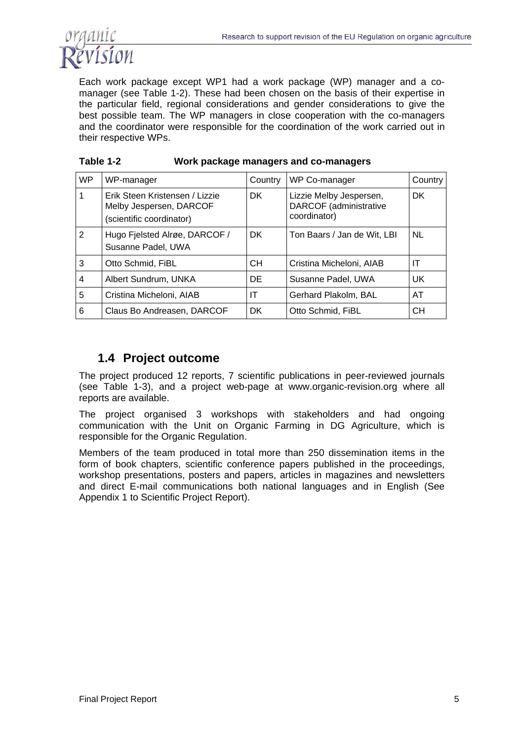

Each work package except WP1 had a work package (WP) manager and a comanager (see Table 1-2). These had been chosen on the basis of their expertise in the particular field, regional considerations and gender considerations to give the best possible team. The WP managers in close cooperation with the co-managers and the coordinator were responsible for the coordination of the work carried out in their respective WPs.

| Table 1-2<br>Work package managers and co-managers |  |
|----------------------------------------------------|--|
|----------------------------------------------------|--|

| <b>WP</b> | WP-manager                                                                            | Country   | WP Co-manager                                                     | Country |
|-----------|---------------------------------------------------------------------------------------|-----------|-------------------------------------------------------------------|---------|
| 1         | Erik Steen Kristensen / Lizzie<br>Melby Jespersen, DARCOF<br>(scientific coordinator) | DK.       | Lizzie Melby Jespersen,<br>DARCOF (administrative<br>coordinator) | DK.     |
| 2         | Hugo Fjelsted Alrøe, DARCOF /<br>Susanne Padel, UWA                                   | DK.       | Ton Baars / Jan de Wit, LBI                                       | NL.     |
| 3         | Otto Schmid, FiBL                                                                     | <b>CH</b> | Cristina Micheloni, AIAB                                          | IT      |
| 4         | Albert Sundrum, UNKA                                                                  | DE.       | Susanne Padel, UWA                                                | UK      |
| 5         | Cristina Micheloni, AIAB                                                              | ΙT        | Gerhard Plakolm, BAL                                              | AT      |
| 6         | Claus Bo Andreasen, DARCOF                                                            | <b>DK</b> | Otto Schmid, FiBL                                                 | CН      |

### **1.4 Project outcome**

The project produced 12 reports, 7 scientific publications in peer-reviewed journals (see Table 1-3), and a project web-page at www.organic-revision.org where all reports are available.

The project organised 3 workshops with stakeholders and had ongoing communication with the Unit on Organic Farming in DG Agriculture, which is responsible for the Organic Regulation.

Members of the team produced in total more than 250 dissemination items in the form of book chapters, scientific conference papers published in the proceedings, workshop presentations, posters and papers, articles in magazines and newsletters and direct E-mail communications both national languages and in English (See Appendix 1 to Scientific Project Report).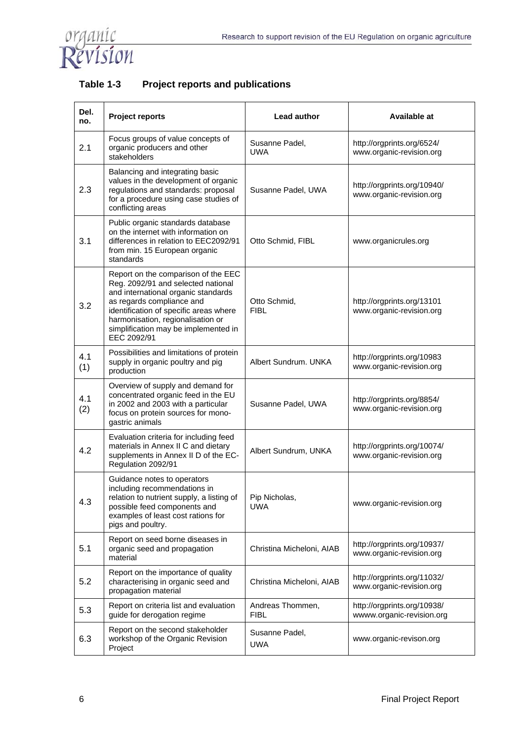

| Table 1-3 | <b>Project reports and publications</b> |
|-----------|-----------------------------------------|
|-----------|-----------------------------------------|

| Del.<br>no. | <b>Project reports</b>                                                                                                                                                                                                                                                              | Lead author                  | Available at                                             |  |
|-------------|-------------------------------------------------------------------------------------------------------------------------------------------------------------------------------------------------------------------------------------------------------------------------------------|------------------------------|----------------------------------------------------------|--|
| 2.1         | Focus groups of value concepts of<br>organic producers and other<br>stakeholders                                                                                                                                                                                                    | Susanne Padel,<br><b>UWA</b> | http://orgprints.org/6524/<br>www.organic-revision.org   |  |
| 2.3         | Balancing and integrating basic<br>values in the development of organic<br>regulations and standards: proposal<br>for a procedure using case studies of<br>conflicting areas                                                                                                        | Susanne Padel, UWA           | http://orgprints.org/10940/<br>www.organic-revision.org  |  |
| 3.1         | Public organic standards database<br>on the internet with information on<br>differences in relation to EEC2092/91<br>from min. 15 European organic<br>standards                                                                                                                     | Otto Schmid, FIBL            | www.organicrules.org                                     |  |
| 3.2         | Report on the comparison of the EEC<br>Reg. 2092/91 and selected national<br>and international organic standards<br>as regards compliance and<br>identification of specific areas where<br>harmonisation, regionalisation or<br>simplification may be implemented in<br>EEC 2092/91 | Otto Schmid,<br><b>FIBL</b>  | http://orgprints.org/13101<br>www.organic-revision.org   |  |
| 4.1<br>(1)  | Possibilities and limitations of protein<br>supply in organic poultry and pig<br>production                                                                                                                                                                                         | Albert Sundrum, UNKA         | http://orgprints.org/10983<br>www.organic-revision.org   |  |
| 4.1<br>(2)  | Overview of supply and demand for<br>concentrated organic feed in the EU<br>in 2002 and 2003 with a particular<br>focus on protein sources for mono-<br>gastric animals                                                                                                             | Susanne Padel, UWA           | http://orgprints.org/8854/<br>www.organic-revision.org   |  |
| 4.2         | Evaluation criteria for including feed<br>materials in Annex II C and dietary<br>supplements in Annex II D of the EC-<br>Regulation 2092/91                                                                                                                                         | Albert Sundrum, UNKA         | http://orgprints.org/10074/<br>www.organic-revision.org  |  |
| 4.3         | Guidance notes to operators<br>including recommendations in<br>relation to nutrient supply, a listing of $\mid$ Pip Nicholas,<br>possible feed components and<br>examples of least cost rations for<br>pigs and poultry.                                                            | UWA                          | www.organic-revision.org                                 |  |
| 5.1         | Report on seed borne diseases in<br>organic seed and propagation<br>material                                                                                                                                                                                                        | Christina Micheloni, AIAB    | http://orgprints.org/10937/<br>www.organic-revision.org  |  |
| 5.2         | Report on the importance of quality<br>characterising in organic seed and<br>propagation material                                                                                                                                                                                   | Christina Micheloni, AIAB    | http://orgprints.org/11032/<br>www.organic-revision.org  |  |
| 5.3         | Report on criteria list and evaluation<br>guide for derogation regime                                                                                                                                                                                                               | Andreas Thommen,<br>FIBL     | http://orgprints.org/10938/<br>wwww.organic-revision.org |  |
| 6.3         | Report on the second stakeholder<br>workshop of the Organic Revision<br>Project                                                                                                                                                                                                     | Susanne Padel,<br><b>UWA</b> | www.organic-revison.org                                  |  |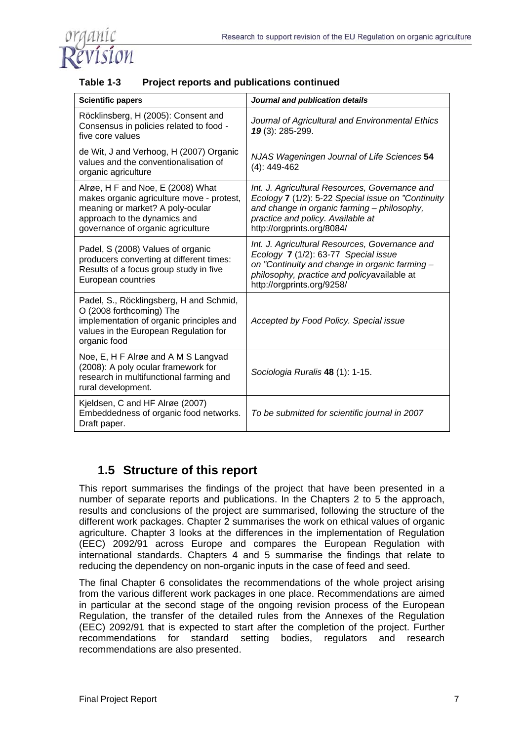

| Table 1-3 | Project reports and publications continued |
|-----------|--------------------------------------------|
|-----------|--------------------------------------------|

| <b>Scientific papers</b>                                                                                                                                                                | Journal and publication details                                                                                                                                                                                        |  |  |
|-----------------------------------------------------------------------------------------------------------------------------------------------------------------------------------------|------------------------------------------------------------------------------------------------------------------------------------------------------------------------------------------------------------------------|--|--|
| Röcklinsberg, H (2005): Consent and<br>Consensus in policies related to food -<br>five core values                                                                                      | Journal of Agricultural and Environmental Ethics<br>19 (3): 285-299.                                                                                                                                                   |  |  |
| de Wit, J and Verhoog, H (2007) Organic<br>values and the conventionalisation of<br>organic agriculture                                                                                 | NJAS Wageningen Journal of Life Sciences 54<br>$(4): 449-462$                                                                                                                                                          |  |  |
| Alrøe, H F and Noe, E (2008) What<br>makes organic agriculture move - protest,<br>meaning or market? A poly-ocular<br>approach to the dynamics and<br>governance of organic agriculture | Int. J. Agricultural Resources, Governance and<br>Ecology 7 (1/2): 5-22 Special issue on "Continuity<br>and change in organic farming - philosophy,<br>practice and policy. Available at<br>http://orgprints.org/8084/ |  |  |
| Padel, S (2008) Values of organic<br>producers converting at different times:<br>Results of a focus group study in five<br>European countries                                           | Int. J. Agricultural Resources, Governance and<br>Ecology 7 (1/2): 63-77 Special issue<br>on "Continuity and change in organic farming -<br>philosophy, practice and policyavailable at<br>http://orgprints.org/9258/  |  |  |
| Padel, S., Röcklingsberg, H and Schmid,<br>O (2008 forthcoming) The<br>implementation of organic principles and<br>values in the European Regulation for<br>organic food                | Accepted by Food Policy. Special issue                                                                                                                                                                                 |  |  |
| Noe, E, H F Alrøe and A M S Langvad<br>(2008): A poly ocular framework for<br>research in multifunctional farming and<br>rural development.                                             | Sociologia Ruralis 48 (1): 1-15.                                                                                                                                                                                       |  |  |
| Kjeldsen, C and HF Alrøe (2007)<br>Embeddedness of organic food networks.<br>Draft paper.                                                                                               | To be submitted for scientific journal in 2007                                                                                                                                                                         |  |  |

## **1.5 Structure of this report**

This report summarises the findings of the project that have been presented in a number of separate reports and publications. In the Chapters 2 to 5 the approach, results and conclusions of the project are summarised, following the structure of the different work packages. Chapter 2 summarises the work on ethical values of organic agriculture. Chapter 3 looks at the differences in the implementation of Regulation (EEC) 2092/91 across Europe and compares the European Regulation with international standards. Chapters 4 and 5 summarise the findings that relate to reducing the dependency on non-organic inputs in the case of feed and seed.

The final Chapter 6 consolidates the recommendations of the whole project arising from the various different work packages in one place. Recommendations are aimed in particular at the second stage of the ongoing revision process of the European Regulation, the transfer of the detailed rules from the Annexes of the Regulation (EEC) 2092/91 that is expected to start after the completion of the project. Further recommendations for standard setting bodies, regulators and research recommendations are also presented.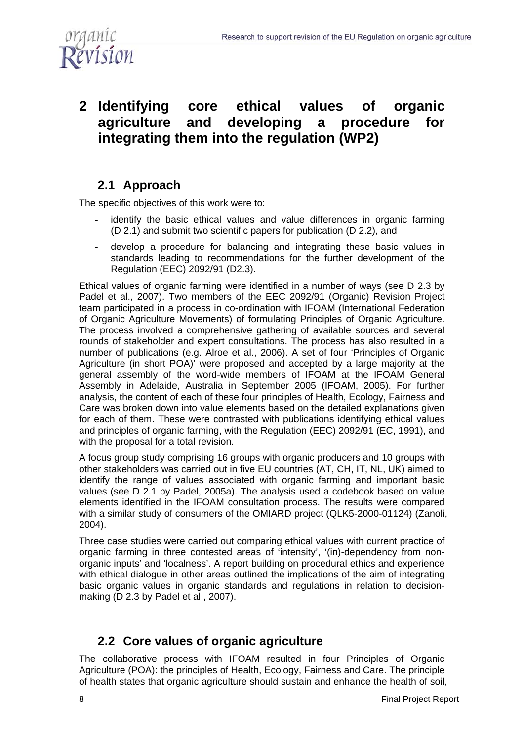

# **2 Identifying core ethical values of organic agriculture and developing a procedure for integrating them into the regulation (WP2)**

## **2.1 Approach**

The specific objectives of this work were to:

- identify the basic ethical values and value differences in organic farming (D 2.1) and submit two scientific papers for publication (D 2.2), and
- develop a procedure for balancing and integrating these basic values in standards leading to recommendations for the further development of the Regulation (EEC) 2092/91 (D2.3).

Ethical values of organic farming were identified in a number of ways (see D 2.3 by Padel et al., 2007). Two members of the EEC 2092/91 (Organic) Revision Project team participated in a process in co-ordination with IFOAM (International Federation of Organic Agriculture Movements) of formulating Principles of Organic Agriculture. The process involved a comprehensive gathering of available sources and several rounds of stakeholder and expert consultations. The process has also resulted in a number of publications (e.g. Alroe et al., 2006). A set of four 'Principles of Organic Agriculture (in short POA)' were proposed and accepted by a large majority at the general assembly of the word-wide members of IFOAM at the IFOAM General Assembly in Adelaide, Australia in September 2005 (IFOAM, 2005). For further analysis, the content of each of these four principles of Health, Ecology, Fairness and Care was broken down into value elements based on the detailed explanations given for each of them. These were contrasted with publications identifying ethical values and principles of organic farming, with the Regulation (EEC) 2092/91 (EC, 1991), and with the proposal for a total revision.

A focus group study comprising 16 groups with organic producers and 10 groups with other stakeholders was carried out in five EU countries (AT, CH, IT, NL, UK) aimed to identify the range of values associated with organic farming and important basic values (see D 2.1 by Padel, 2005a). The analysis used a codebook based on value elements identified in the IFOAM consultation process. The results were compared with a similar study of consumers of the OMIARD project (QLK5-2000-01124) (Zanoli, 2004).

Three case studies were carried out comparing ethical values with current practice of organic farming in three contested areas of 'intensity', '(in)-dependency from nonorganic inputs' and 'localness'. A report building on procedural ethics and experience with ethical dialogue in other areas outlined the implications of the aim of integrating basic organic values in organic standards and regulations in relation to decisionmaking (D 2.3 by Padel et al., 2007).

### **2.2 Core values of organic agriculture**

The collaborative process with IFOAM resulted in four Principles of Organic Agriculture (POA): the principles of Health, Ecology, Fairness and Care. The principle of health states that organic agriculture should sustain and enhance the health of soil,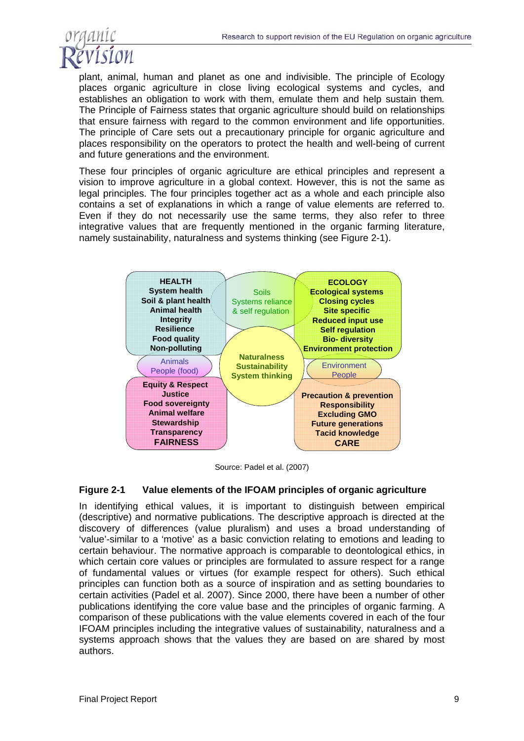

plant, animal, human and planet as one and indivisible. The principle of Ecology places organic agriculture in close living ecological systems and cycles, and establishes an obligation to work with them, emulate them and help sustain them*.*  The Principle of Fairness states that organic agriculture should build on relationships that ensure fairness with regard to the common environment and life opportunities. The principle of Care sets out a precautionary principle for organic agriculture and places responsibility on the operators to protect the health and well-being of current and future generations and the environment.

These four principles of organic agriculture are ethical principles and represent a vision to improve agriculture in a global context. However, this is not the same as legal principles. The four principles together act as a whole and each principle also contains a set of explanations in which a range of value elements are referred to. Even if they do not necessarily use the same terms, they also refer to three integrative values that are frequently mentioned in the organic farming literature, namely sustainability, naturalness and systems thinking (see Figure 2-1).



Source: Padel et al. (2007)

#### **Figure 2-1 Value elements of the IFOAM principles of organic agriculture**

In identifying ethical values, it is important to distinguish between empirical (descriptive) and normative publications. The descriptive approach is directed at the discovery of differences (value pluralism) and uses a broad understanding of 'value'-similar to a 'motive' as a basic conviction relating to emotions and leading to certain behaviour. The normative approach is comparable to deontological ethics, in which certain core values or principles are formulated to assure respect for a range of fundamental values or virtues (for example respect for others). Such ethical principles can function both as a source of inspiration and as setting boundaries to certain activities (Padel et al. 2007). Since 2000, there have been a number of other publications identifying the core value base and the principles of organic farming. A comparison of these publications with the value elements covered in each of the four IFOAM principles including the integrative values of sustainability, naturalness and a systems approach shows that the values they are based on are shared by most authors.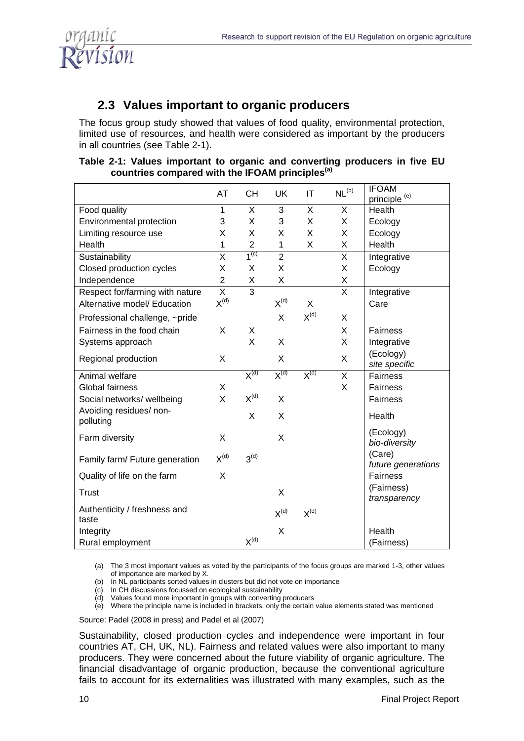

## **2.3 Values important to organic producers**

The focus group study showed that values of food quality, environmental protection, limited use of resources, and health were considered as important by the producers in all countries (see Table 2-1).

#### **Table 2-1: Values important to organic and converting producers in five EU countries compared with the IFOAM principles(a)**

|                                       | AT             | <b>CH</b>                   | <b>UK</b>      | ΙT                          | NL <sup>(b)</sup> | <b>IFOAM</b><br>principle <sup>(e)</sup> |
|---------------------------------------|----------------|-----------------------------|----------------|-----------------------------|-------------------|------------------------------------------|
| Food quality                          | 1              | X                           | 3              | X                           | X                 | Health                                   |
| Environmental protection              | 3              | X                           | 3              | X                           | X                 | Ecology                                  |
| Limiting resource use                 | X              | X                           | X              | X                           | X                 | Ecology                                  |
| Health                                | 1              | $\overline{2}$              | $\mathbf{1}$   | X                           | X                 | Health                                   |
| Sustainability                        | X              | 1 <sup>(c)</sup>            | $\overline{2}$ |                             | X                 | Integrative                              |
| Closed production cycles              | X              | X                           | X              |                             | X                 | Ecology                                  |
| Independence                          | $\overline{2}$ | X                           | X              |                             | X                 |                                          |
| Respect for/farming with nature       | X              | 3                           |                |                             | X                 | Integrative                              |
| Alternative model/ Education          | $X^{(d)}$      |                             | $X^{(d)}$      | X                           |                   | Care                                     |
| Professional challenge, ~pride        |                |                             | X              | $\mathsf{X}^{(\mathsf{d})}$ | X                 |                                          |
| Fairness in the food chain            | X              | X                           |                |                             | X                 | <b>Fairness</b>                          |
| Systems approach                      |                | X                           | X              |                             | X                 | Integrative                              |
| Regional production                   | X              |                             | X              |                             | X                 | (Ecology)<br>site specific               |
| Animal welfare                        |                | $X^{(d)}$                   | $X^{(d)}$      | $X^{(d)}$                   | X                 | Fairness                                 |
| <b>Global fairness</b>                | X              |                             |                |                             | X                 | Fairness                                 |
| Social networks/ wellbeing            | X              | $X^{(d)}$                   | X              |                             |                   | Fairness                                 |
| Avoiding residues/ non-<br>polluting  |                | X                           | X              |                             |                   | Health                                   |
| Farm diversity                        | X              |                             | X              |                             |                   | (Ecology)<br>bio-diversity               |
| Family farm/ Future generation        | $X^{(d)}$      | 3 <sup>(d)</sup>            |                |                             |                   | (Care)<br>future generations             |
| Quality of life on the farm           | X              |                             |                |                             |                   | Fairness                                 |
| Trust                                 |                |                             | X              |                             |                   | (Fairness)                               |
|                                       |                |                             |                |                             |                   | transparency                             |
| Authenticity / freshness and<br>taste |                |                             | $X^{(d)}$      | $X^{(d)}$                   |                   |                                          |
| Integrity                             |                |                             | X              |                             |                   | Health                                   |
| Rural employment                      |                | $\mathsf{X}^{(\mathsf{d})}$ |                |                             |                   | (Fairness)                               |

(a) The 3 most important values as voted by the participants of the focus groups are marked 1-3, other values of importance are marked by X.

- (b) In NL participants sorted values in clusters but did not vote on importance
- (c) In CH discussions focussed on ecological sustainability
- (d) Values found more important in groups with converting producers
- (e) Where the principle name is included in brackets, only the certain value elements stated was mentioned

Source: Padel (2008 in press) and Padel et al (2007)

Sustainability, closed production cycles and independence were important in four countries AT, CH, UK, NL). Fairness and related values were also important to many producers. They were concerned about the future viability of organic agriculture. The financial disadvantage of organic production, because the conventional agriculture fails to account for its externalities was illustrated with many examples, such as the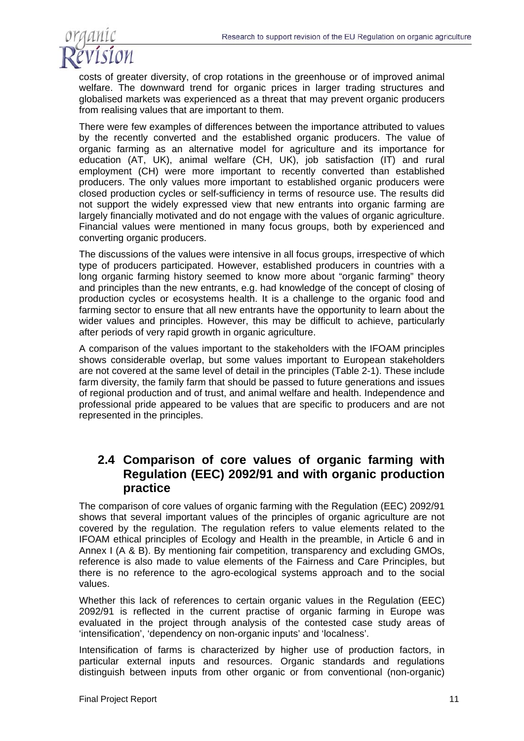

costs of greater diversity, of crop rotations in the greenhouse or of improved animal welfare. The downward trend for organic prices in larger trading structures and globalised markets was experienced as a threat that may prevent organic producers from realising values that are important to them.

There were few examples of differences between the importance attributed to values by the recently converted and the established organic producers. The value of organic farming as an alternative model for agriculture and its importance for education (AT, UK), animal welfare (CH, UK), job satisfaction (IT) and rural employment (CH) were more important to recently converted than established producers. The only values more important to established organic producers were closed production cycles or self-sufficiency in terms of resource use. The results did not support the widely expressed view that new entrants into organic farming are largely financially motivated and do not engage with the values of organic agriculture. Financial values were mentioned in many focus groups, both by experienced and converting organic producers.

The discussions of the values were intensive in all focus groups, irrespective of which type of producers participated. However, established producers in countries with a long organic farming history seemed to know more about "organic farming" theory and principles than the new entrants, e.g. had knowledge of the concept of closing of production cycles or ecosystems health. It is a challenge to the organic food and farming sector to ensure that all new entrants have the opportunity to learn about the wider values and principles. However, this may be difficult to achieve, particularly after periods of very rapid growth in organic agriculture.

A comparison of the values important to the stakeholders with the IFOAM principles shows considerable overlap, but some values important to European stakeholders are not covered at the same level of detail in the principles (Table 2-1). These include farm diversity, the family farm that should be passed to future generations and issues of regional production and of trust, and animal welfare and health. Independence and professional pride appeared to be values that are specific to producers and are not represented in the principles.

### **2.4 Comparison of core values of organic farming with Regulation (EEC) 2092/91 and with organic production practice**

The comparison of core values of organic farming with the Regulation (EEC) 2092/91 shows that several important values of the principles of organic agriculture are not covered by the regulation. The regulation refers to value elements related to the IFOAM ethical principles of Ecology and Health in the preamble, in Article 6 and in Annex I (A & B). By mentioning fair competition, transparency and excluding GMOs, reference is also made to value elements of the Fairness and Care Principles, but there is no reference to the agro-ecological systems approach and to the social values.

Whether this lack of references to certain organic values in the Regulation (EEC) 2092/91 is reflected in the current practise of organic farming in Europe was evaluated in the project through analysis of the contested case study areas of 'intensification', 'dependency on non-organic inputs' and 'localness'.

Intensification of farms is characterized by higher use of production factors, in particular external inputs and resources. Organic standards and regulations distinguish between inputs from other organic or from conventional (non-organic)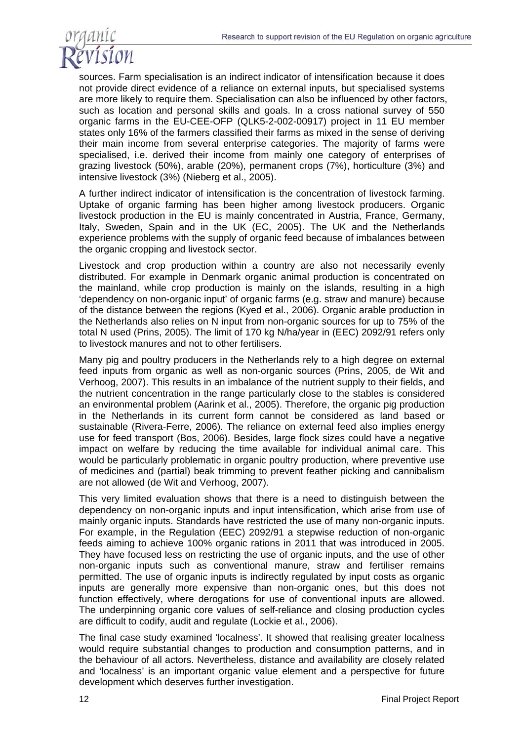

sources. Farm specialisation is an indirect indicator of intensification because it does not provide direct evidence of a reliance on external inputs, but specialised systems are more likely to require them. Specialisation can also be influenced by other factors, such as location and personal skills and goals. In a cross national survey of 550 organic farms in the EU-CEE-OFP (QLK5-2-002-00917) project in 11 EU member states only 16% of the farmers classified their farms as mixed in the sense of deriving their main income from several enterprise categories. The majority of farms were specialised, i.e. derived their income from mainly one category of enterprises of grazing livestock (50%), arable (20%), permanent crops (7%), horticulture (3%) and intensive livestock (3%) (Nieberg et al., 2005).

A further indirect indicator of intensification is the concentration of livestock farming. Uptake of organic farming has been higher among livestock producers. Organic livestock production in the EU is mainly concentrated in Austria, France, Germany, Italy, Sweden, Spain and in the UK (EC, 2005). The UK and the Netherlands experience problems with the supply of organic feed because of imbalances between the organic cropping and livestock sector.

Livestock and crop production within a country are also not necessarily evenly distributed. For example in Denmark organic animal production is concentrated on the mainland, while crop production is mainly on the islands, resulting in a high 'dependency on non-organic input' of organic farms (e.g. straw and manure) because of the distance between the regions (Kyed et al., 2006). Organic arable production in the Netherlands also relies on N input from non-organic sources for up to 75% of the total N used (Prins, 2005). The limit of 170 kg N/ha/year in (EEC) 2092/91 refers only to livestock manures and not to other fertilisers.

Many pig and poultry producers in the Netherlands rely to a high degree on external feed inputs from organic as well as non-organic sources (Prins, 2005, de Wit and Verhoog, 2007). This results in an imbalance of the nutrient supply to their fields, and the nutrient concentration in the range particularly close to the stables is considered an environmental problem (Aarink et al., 2005). Therefore, the organic pig production in the Netherlands in its current form cannot be considered as land based or sustainable (Rivera-Ferre, 2006). The reliance on external feed also implies energy use for feed transport (Bos, 2006). Besides, large flock sizes could have a negative impact on welfare by reducing the time available for individual animal care. This would be particularly problematic in organic poultry production, where preventive use of medicines and (partial) beak trimming to prevent feather picking and cannibalism are not allowed (de Wit and Verhoog, 2007).

This very limited evaluation shows that there is a need to distinguish between the dependency on non-organic inputs and input intensification, which arise from use of mainly organic inputs. Standards have restricted the use of many non-organic inputs. For example, in the Regulation (EEC) 2092/91 a stepwise reduction of non-organic feeds aiming to achieve 100% organic rations in 2011 that was introduced in 2005. They have focused less on restricting the use of organic inputs, and the use of other non-organic inputs such as conventional manure, straw and fertiliser remains permitted. The use of organic inputs is indirectly regulated by input costs as organic inputs are generally more expensive than non-organic ones, but this does not function effectively, where derogations for use of conventional inputs are allowed. The underpinning organic core values of self-reliance and closing production cycles are difficult to codify, audit and regulate (Lockie et al., 2006).

The final case study examined 'localness'. It showed that realising greater localness would require substantial changes to production and consumption patterns, and in the behaviour of all actors. Nevertheless, distance and availability are closely related and 'localness' is an important organic value element and a perspective for future development which deserves further investigation.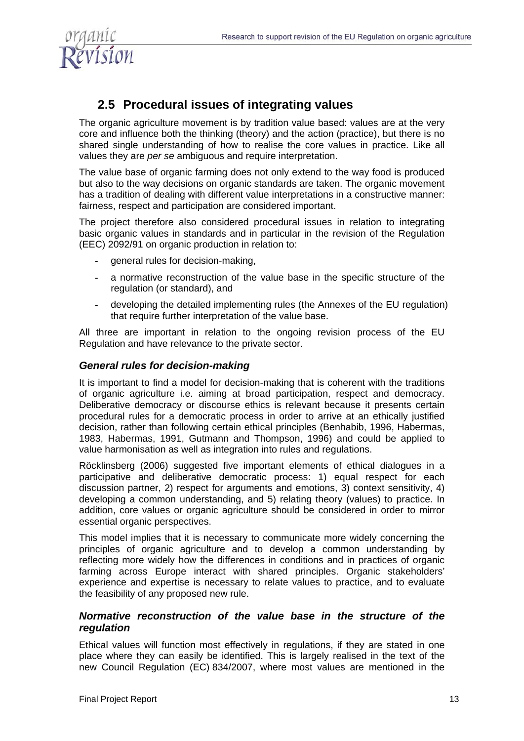

## **2.5 Procedural issues of integrating values**

The organic agriculture movement is by tradition value based: values are at the very core and influence both the thinking (theory) and the action (practice), but there is no shared single understanding of how to realise the core values in practice. Like all values they are *per se* ambiguous and require interpretation.

The value base of organic farming does not only extend to the way food is produced but also to the way decisions on organic standards are taken. The organic movement has a tradition of dealing with different value interpretations in a constructive manner: fairness, respect and participation are considered important.

The project therefore also considered procedural issues in relation to integrating basic organic values in standards and in particular in the revision of the Regulation (EEC) 2092/91 on organic production in relation to:

- general rules for decision-making,
- a normative reconstruction of the value base in the specific structure of the regulation (or standard), and
- developing the detailed implementing rules (the Annexes of the EU regulation) that require further interpretation of the value base.

All three are important in relation to the ongoing revision process of the EU Regulation and have relevance to the private sector.

#### *General rules for decision-making*

It is important to find a model for decision-making that is coherent with the traditions of organic agriculture i.e. aiming at broad participation, respect and democracy. Deliberative democracy or discourse ethics is relevant because it presents certain procedural rules for a democratic process in order to arrive at an ethically justified decision, rather than following certain ethical principles (Benhabib, 1996, Habermas, 1983, Habermas, 1991, Gutmann and Thompson, 1996) and could be applied to value harmonisation as well as integration into rules and regulations.

Röcklinsberg (2006) suggested five important elements of ethical dialogues in a participative and deliberative democratic process: 1) equal respect for each discussion partner, 2) respect for arguments and emotions, 3) context sensitivity, 4) developing a common understanding, and 5) relating theory (values) to practice. In addition, core values or organic agriculture should be considered in order to mirror essential organic perspectives.

This model implies that it is necessary to communicate more widely concerning the principles of organic agriculture and to develop a common understanding by reflecting more widely how the differences in conditions and in practices of organic farming across Europe interact with shared principles. Organic stakeholders' experience and expertise is necessary to relate values to practice, and to evaluate the feasibility of any proposed new rule.

#### *Normative reconstruction of the value base in the structure of the regulation*

Ethical values will function most effectively in regulations, if they are stated in one place where they can easily be identified. This is largely realised in the text of the new Council Regulation (EC) 834/2007, where most values are mentioned in the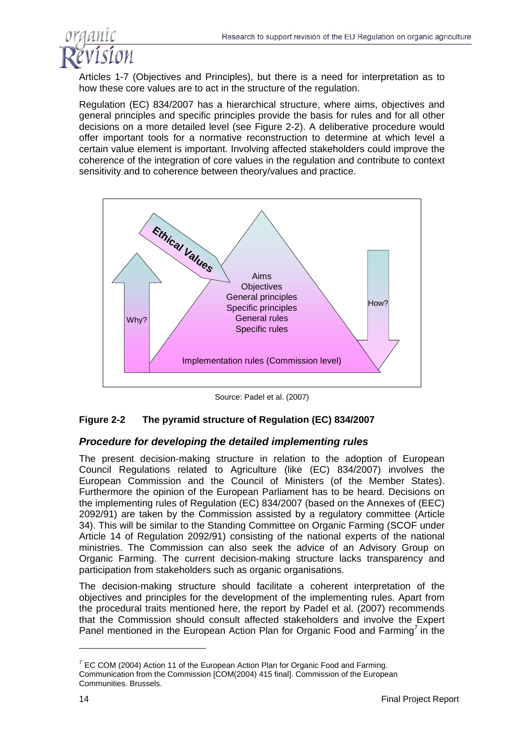

Articles 1-7 (Objectives and Principles), but there is a need for interpretation as to how these core values are to act in the structure of the regulation.

Regulation (EC) 834/2007 has a hierarchical structure, where aims, objectives and general principles and specific principles provide the basis for rules and for all other decisions on a more detailed level (see Figure 2-2). A deliberative procedure would offer important tools for a normative reconstruction to determine at which level a certain value element is important. Involving affected stakeholders could improve the coherence of the integration of core values in the regulation and contribute to context sensitivity and to coherence between theory/values and practice.



Source: Padel et al. (2007)

#### **Figure 2-2 The pyramid structure of Regulation (EC) 834/2007**

#### *Procedure for developing the detailed implementing rules*

The present decision-making structure in relation to the adoption of European Council Regulations related to Agriculture (like (EC) 834/2007) involves the European Commission and the Council of Ministers (of the Member States). Furthermore the opinion of the European Parliament has to be heard. Decisions on the implementing rules of Regulation (EC) 834/2007 (based on the Annexes of (EEC) 2092/91) are taken by the Commission assisted by a regulatory committee (Article 34). This will be similar to the Standing Committee on Organic Farming (SCOF under Article 14 of Regulation 2092/91) consisting of the national experts of the national ministries. The Commission can also seek the advice of an Advisory Group on Organic Farming. The current decision-making structure lacks transparency and participation from stakeholders such as organic organisations.

The decision-making structure should facilitate a coherent interpretation of the objectives and principles for the development of the implementing rules. Apart from the procedural traits mentioned here, the report by Padel et al. (2007) recommends that the Commission should consult affected stakeholders and involve the Expert Panel mentioned in the European Action Plan for Organic Food and Farming<sup>7</sup> in the

 $<sup>7</sup>$  EC COM (2004) Action 11 of the European Action Plan for Organic Food and Farming.</sup> Communication from the Commission [COM(2004) 415 final]. Commission of the European Communities. Brussels.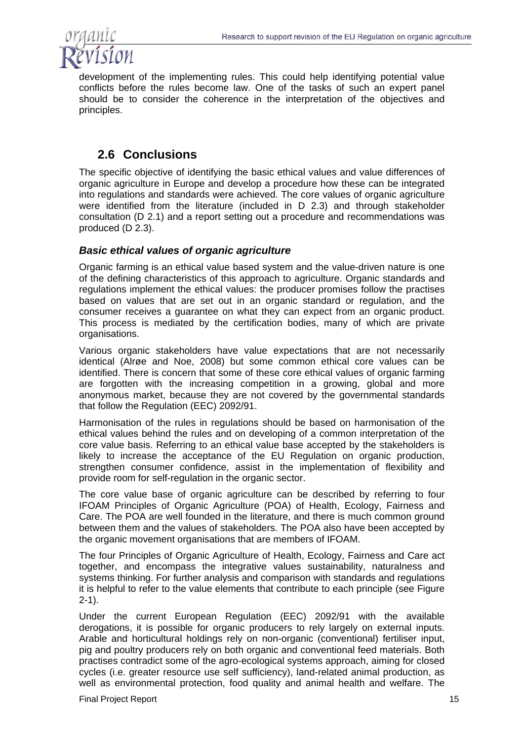

development of the implementing rules. This could help identifying potential value conflicts before the rules become law. One of the tasks of such an expert panel should be to consider the coherence in the interpretation of the objectives and principles.

## **2.6 Conclusions**

The specific objective of identifying the basic ethical values and value differences of organic agriculture in Europe and develop a procedure how these can be integrated into regulations and standards were achieved. The core values of organic agriculture were identified from the literature (included in D 2.3) and through stakeholder consultation (D 2.1) and a report setting out a procedure and recommendations was produced (D 2.3).

### *Basic ethical values of organic agriculture*

Organic farming is an ethical value based system and the value-driven nature is one of the defining characteristics of this approach to agriculture. Organic standards and regulations implement the ethical values: the producer promises follow the practises based on values that are set out in an organic standard or regulation, and the consumer receives a guarantee on what they can expect from an organic product. This process is mediated by the certification bodies, many of which are private organisations.

Various organic stakeholders have value expectations that are not necessarily identical (Alrøe and Noe, 2008) but some common ethical core values can be identified. There is concern that some of these core ethical values of organic farming are forgotten with the increasing competition in a growing, global and more anonymous market, because they are not covered by the governmental standards that follow the Regulation (EEC) 2092/91.

Harmonisation of the rules in regulations should be based on harmonisation of the ethical values behind the rules and on developing of a common interpretation of the core value basis. Referring to an ethical value base accepted by the stakeholders is likely to increase the acceptance of the EU Regulation on organic production, strengthen consumer confidence, assist in the implementation of flexibility and provide room for self-regulation in the organic sector.

The core value base of organic agriculture can be described by referring to four IFOAM Principles of Organic Agriculture (POA) of Health, Ecology, Fairness and Care. The POA are well founded in the literature, and there is much common ground between them and the values of stakeholders. The POA also have been accepted by the organic movement organisations that are members of IFOAM.

The four Principles of Organic Agriculture of Health, Ecology, Fairness and Care act together, and encompass the integrative values sustainability, naturalness and systems thinking. For further analysis and comparison with standards and regulations it is helpful to refer to the value elements that contribute to each principle (see Figure 2-1).

Under the current European Regulation (EEC) 2092/91 with the available derogations, it is possible for organic producers to rely largely on external inputs. Arable and horticultural holdings rely on non-organic (conventional) fertiliser input, pig and poultry producers rely on both organic and conventional feed materials. Both practises contradict some of the agro-ecological systems approach, aiming for closed cycles (i.e. greater resource use self sufficiency), land-related animal production, as well as environmental protection, food quality and animal health and welfare. The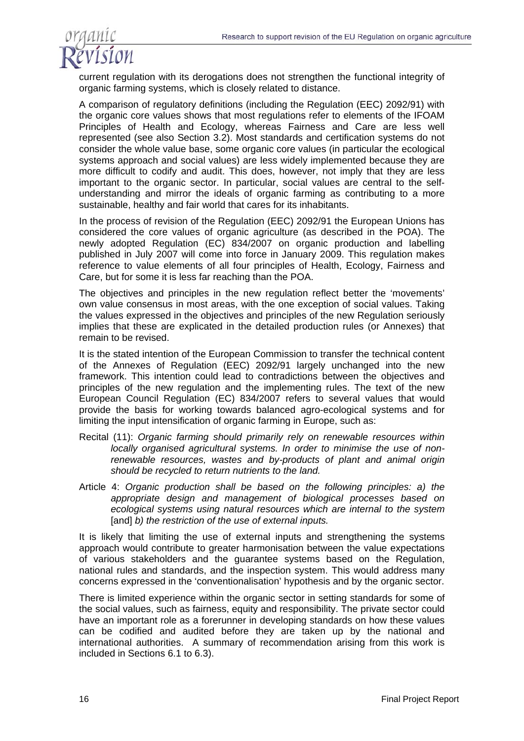

current regulation with its derogations does not strengthen the functional integrity of organic farming systems, which is closely related to distance.

A comparison of regulatory definitions (including the Regulation (EEC) 2092/91) with the organic core values shows that most regulations refer to elements of the IFOAM Principles of Health and Ecology, whereas Fairness and Care are less well represented (see also Section 3.2). Most standards and certification systems do not consider the whole value base, some organic core values (in particular the ecological systems approach and social values) are less widely implemented because they are more difficult to codify and audit. This does, however, not imply that they are less important to the organic sector. In particular, social values are central to the selfunderstanding and mirror the ideals of organic farming as contributing to a more sustainable, healthy and fair world that cares for its inhabitants.

In the process of revision of the Regulation (EEC) 2092/91 the European Unions has considered the core values of organic agriculture (as described in the POA). The newly adopted Regulation (EC) 834/2007 on organic production and labelling published in July 2007 will come into force in January 2009. This regulation makes reference to value elements of all four principles of Health, Ecology, Fairness and Care, but for some it is less far reaching than the POA.

The objectives and principles in the new regulation reflect better the 'movements' own value consensus in most areas, with the one exception of social values. Taking the values expressed in the objectives and principles of the new Regulation seriously implies that these are explicated in the detailed production rules (or Annexes) that remain to be revised.

It is the stated intention of the European Commission to transfer the technical content of the Annexes of Regulation (EEC) 2092/91 largely unchanged into the new framework. This intention could lead to contradictions between the objectives and principles of the new regulation and the implementing rules. The text of the new European Council Regulation (EC) 834/2007 refers to several values that would provide the basis for working towards balanced agro-ecological systems and for limiting the input intensification of organic farming in Europe, such as:

- Recital (11): *Organic farming should primarily rely on renewable resources within locally organised agricultural systems. In order to minimise the use of nonrenewable resources, wastes and by-products of plant and animal origin should be recycled to return nutrients to the land.*
- Article 4: *Organic production shall be based on the following principles: a) the appropriate design and management of biological processes based on ecological systems using natural resources which are internal to the system*  [and] *b)* the restriction of the use of external inputs.

It is likely that limiting the use of external inputs and strengthening the systems approach would contribute to greater harmonisation between the value expectations of various stakeholders and the guarantee systems based on the Regulation, national rules and standards, and the inspection system. This would address many concerns expressed in the 'conventionalisation' hypothesis and by the organic sector.

There is limited experience within the organic sector in setting standards for some of the social values, such as fairness, equity and responsibility. The private sector could have an important role as a forerunner in developing standards on how these values can be codified and audited before they are taken up by the national and international authorities. A summary of recommendation arising from this work is included in Sections 6.1 to 6.3).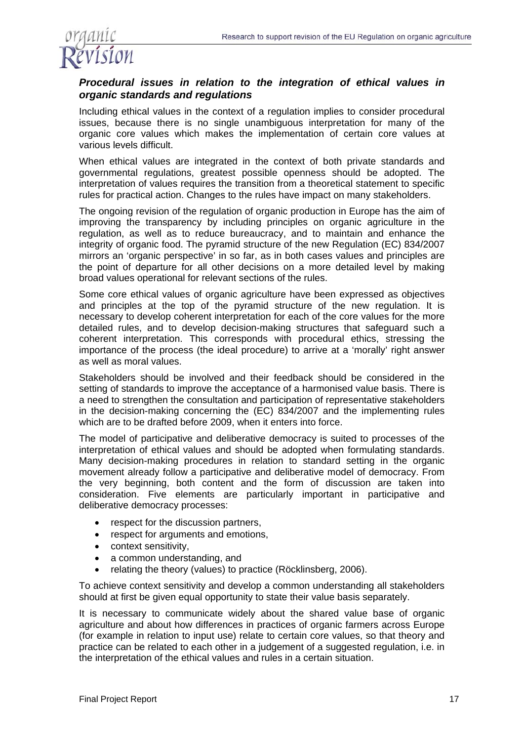

### *Procedural issues in relation to the integration of ethical values in organic standards and regulations*

Including ethical values in the context of a regulation implies to consider procedural issues, because there is no single unambiguous interpretation for many of the organic core values which makes the implementation of certain core values at various levels difficult.

When ethical values are integrated in the context of both private standards and governmental regulations, greatest possible openness should be adopted. The interpretation of values requires the transition from a theoretical statement to specific rules for practical action. Changes to the rules have impact on many stakeholders.

The ongoing revision of the regulation of organic production in Europe has the aim of improving the transparency by including principles on organic agriculture in the regulation, as well as to reduce bureaucracy, and to maintain and enhance the integrity of organic food. The pyramid structure of the new Regulation (EC) 834/2007 mirrors an 'organic perspective' in so far, as in both cases values and principles are the point of departure for all other decisions on a more detailed level by making broad values operational for relevant sections of the rules.

Some core ethical values of organic agriculture have been expressed as objectives and principles at the top of the pyramid structure of the new regulation. It is necessary to develop coherent interpretation for each of the core values for the more detailed rules, and to develop decision-making structures that safeguard such a coherent interpretation. This corresponds with procedural ethics, stressing the importance of the process (the ideal procedure) to arrive at a 'morally' right answer as well as moral values.

Stakeholders should be involved and their feedback should be considered in the setting of standards to improve the acceptance of a harmonised value basis. There is a need to strengthen the consultation and participation of representative stakeholders in the decision-making concerning the (EC) 834/2007 and the implementing rules which are to be drafted before 2009, when it enters into force.

The model of participative and deliberative democracy is suited to processes of the interpretation of ethical values and should be adopted when formulating standards. Many decision-making procedures in relation to standard setting in the organic movement already follow a participative and deliberative model of democracy. From the very beginning, both content and the form of discussion are taken into consideration. Five elements are particularly important in participative and deliberative democracy processes:

- respect for the discussion partners,
- respect for arguments and emotions,
- context sensitivity,
- a common understanding, and
- relating the theory (values) to practice (Röcklinsberg, 2006).

To achieve context sensitivity and develop a common understanding all stakeholders should at first be given equal opportunity to state their value basis separately.

It is necessary to communicate widely about the shared value base of organic agriculture and about how differences in practices of organic farmers across Europe (for example in relation to input use) relate to certain core values, so that theory and practice can be related to each other in a judgement of a suggested regulation, i.e. in the interpretation of the ethical values and rules in a certain situation.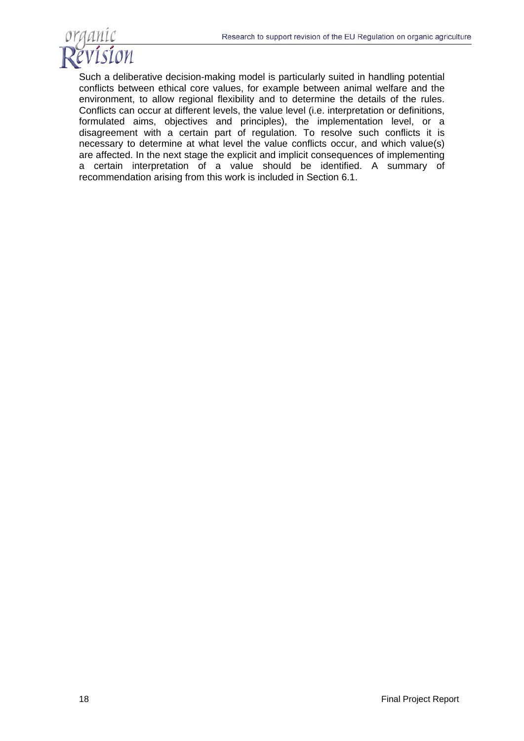

Such a deliberative decision-making model is particularly suited in handling potential conflicts between ethical core values, for example between animal welfare and the environment, to allow regional flexibility and to determine the details of the rules. Conflicts can occur at different levels, the value level (i.e. interpretation or definitions, formulated aims, objectives and principles), the implementation level, or a disagreement with a certain part of regulation. To resolve such conflicts it is necessary to determine at what level the value conflicts occur, and which value(s) are affected. In the next stage the explicit and implicit consequences of implementing a certain interpretation of a value should be identified. A summary of recommendation arising from this work is included in Section 6.1.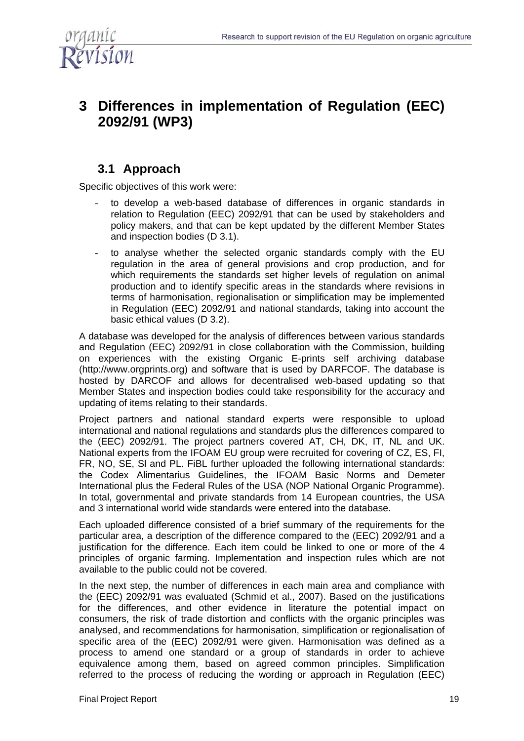

# **3 Differences in implementation of Regulation (EEC) 2092/91 (WP3)**

## **3.1 Approach**

Specific objectives of this work were:

- to develop a web-based database of differences in organic standards in relation to Regulation (EEC) 2092/91 that can be used by stakeholders and policy makers, and that can be kept updated by the different Member States and inspection bodies (D 3.1).
- to analyse whether the selected organic standards comply with the EU regulation in the area of general provisions and crop production, and for which requirements the standards set higher levels of regulation on animal production and to identify specific areas in the standards where revisions in terms of harmonisation, regionalisation or simplification may be implemented in Regulation (EEC) 2092/91 and national standards, taking into account the basic ethical values (D 3.2).

A database was developed for the analysis of differences between various standards and Regulation (EEC) 2092/91 in close collaboration with the Commission, building on experiences with the existing Organic E-prints self archiving database (http://www.orgprints.org) and software that is used by DARFCOF. The database is hosted by DARCOF and allows for decentralised web-based updating so that Member States and inspection bodies could take responsibility for the accuracy and updating of items relating to their standards.

Project partners and national standard experts were responsible to upload international and national regulations and standards plus the differences compared to the (EEC) 2092/91. The project partners covered AT, CH, DK, IT, NL and UK. National experts from the IFOAM EU group were recruited for covering of CZ, ES, FI, FR, NO, SE, Sl and PL. FiBL further uploaded the following international standards: the Codex Alimentarius Guidelines, the IFOAM Basic Norms and Demeter International plus the Federal Rules of the USA (NOP National Organic Programme). In total, governmental and private standards from 14 European countries, the USA and 3 international world wide standards were entered into the database.

Each uploaded difference consisted of a brief summary of the requirements for the particular area, a description of the difference compared to the (EEC) 2092/91 and a justification for the difference. Each item could be linked to one or more of the 4 principles of organic farming. Implementation and inspection rules which are not available to the public could not be covered.

In the next step, the number of differences in each main area and compliance with the (EEC) 2092/91 was evaluated (Schmid et al., 2007). Based on the justifications for the differences, and other evidence in literature the potential impact on consumers, the risk of trade distortion and conflicts with the organic principles was analysed, and recommendations for harmonisation, simplification or regionalisation of specific area of the (EEC) 2092/91 were given. Harmonisation was defined as a process to amend one standard or a group of standards in order to achieve equivalence among them, based on agreed common principles. Simplification referred to the process of reducing the wording or approach in Regulation (EEC)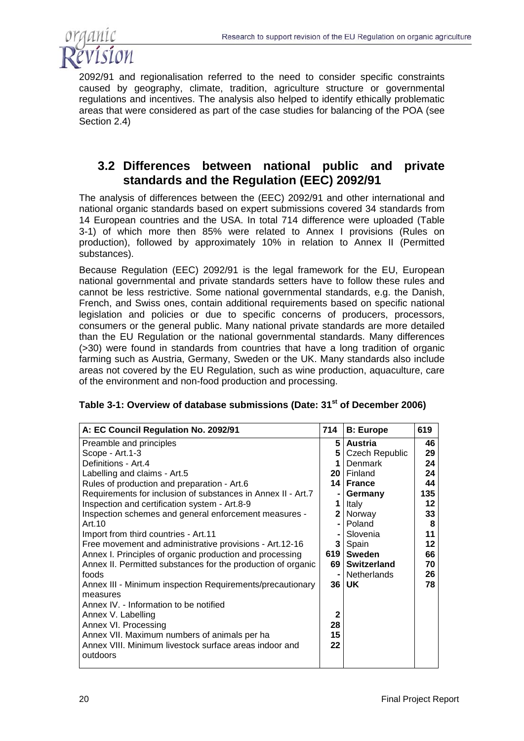

2092/91 and regionalisation referred to the need to consider specific constraints caused by geography, climate, tradition, agriculture structure or governmental regulations and incentives. The analysis also helped to identify ethically problematic areas that were considered as part of the case studies for balancing of the POA (see Section 2.4)

### **3.2 Differences between national public and private standards and the Regulation (EEC) 2092/91**

The analysis of differences between the (EEC) 2092/91 and other international and national organic standards based on expert submissions covered 34 standards from 14 European countries and the USA. In total 714 difference were uploaded (Table 3-1) of which more then 85% were related to Annex I provisions (Rules on production), followed by approximately 10% in relation to Annex II (Permitted substances).

Because Regulation (EEC) 2092/91 is the legal framework for the EU, European national governmental and private standards setters have to follow these rules and cannot be less restrictive. Some national governmental standards, e.g. the Danish, French, and Swiss ones, contain additional requirements based on specific national legislation and policies or due to specific concerns of producers, processors, consumers or the general public. Many national private standards are more detailed than the EU Regulation or the national governmental standards. Many differences (>30) were found in standards from countries that have a long tradition of organic farming such as Austria, Germany, Sweden or the UK. Many standards also include areas not covered by the EU Regulation, such as wine production, aquaculture, care of the environment and non-food production and processing.

| A: EC Council Regulation No. 2092/91                         | 714            | <b>B: Europe</b>   | 619 |
|--------------------------------------------------------------|----------------|--------------------|-----|
| Preamble and principles                                      |                | 5   Austria        | 46  |
| Scope - Art.1-3                                              |                | 5 Czech Republic   | 29  |
| Definitions - Art.4                                          | 1              | Denmark            | 24  |
| Labelling and claims - Art.5                                 |                | 20   Finland       | 24  |
| Rules of production and preparation - Art.6                  |                | 14   France        | 44  |
| Requirements for inclusion of substances in Annex II - Art.7 |                | Germany            | 135 |
| Inspection and certification system - Art.8-9                | 1              | Italy              | 12  |
| Inspection schemes and general enforcement measures -        | 2 <sup>1</sup> | Norway             | 33  |
| Art. 10                                                      |                | Poland             | 8   |
| Import from third countries - Art.11                         |                | Slovenia           | 11  |
| Free movement and administrative provisions - Art.12-16      |                | 3   Spain          | 12  |
| Annex I. Principles of organic production and processing     |                | 619   Sweden       | 66  |
| Annex II. Permitted substances for the production of organic | 69 I           | <b>Switzerland</b> | 70  |
| foods                                                        |                | <b>Netherlands</b> | 26  |
| Annex III - Minimum inspection Requirements/precautionary    |                | $36$   UK          | 78  |
| measures                                                     |                |                    |     |
| Annex IV. - Information to be notified                       | $\mathbf 2$    |                    |     |
| Annex V. Labelling                                           |                |                    |     |
| Annex VI. Processing                                         | 28             |                    |     |
| Annex VII. Maximum numbers of animals per ha                 | 15             |                    |     |
| Annex VIII. Minimum livestock surface areas indoor and       | 22             |                    |     |
| outdoors                                                     |                |                    |     |

#### **Table 3-1: Overview of database submissions (Date: 31st of December 2006)**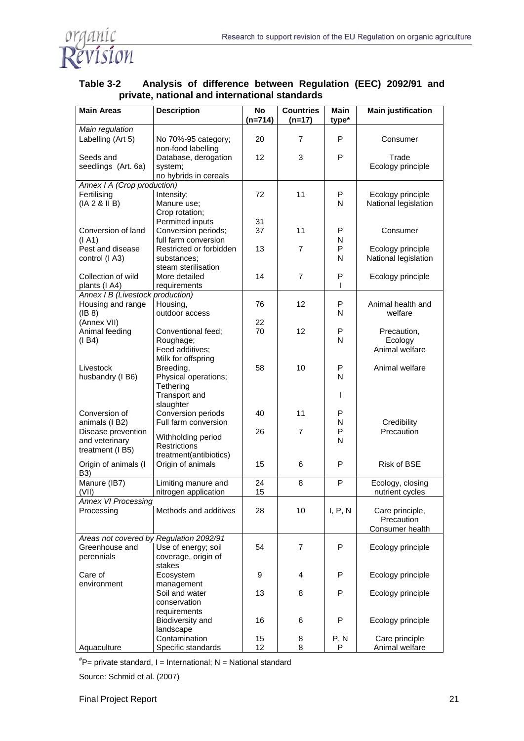

| <b>Main Areas</b>                                     | <b>Description</b>                        | <b>No</b><br>$(n=714)$ | <b>Countries</b><br>$(n=17)$ | <b>Main</b><br>type* | <b>Main justification</b>     |  |  |
|-------------------------------------------------------|-------------------------------------------|------------------------|------------------------------|----------------------|-------------------------------|--|--|
| Main regulation                                       |                                           |                        |                              |                      |                               |  |  |
| Labelling (Art 5)                                     | No 70%-95 category;<br>non-food labelling | 20                     | $\overline{7}$               | P                    | Consumer                      |  |  |
| Seeds and                                             | Database, derogation                      | 12                     | 3                            | P                    | Trade                         |  |  |
| seedlings (Art. 6a)                                   | system;<br>no hybrids in cereals          |                        |                              |                      | Ecology principle             |  |  |
| Annex I A (Crop production)                           |                                           |                        |                              |                      |                               |  |  |
| Fertilising                                           | Intensity;                                | 72                     | 11                           | P                    | Ecology principle             |  |  |
| (IA 2 8 II B)                                         | Manure use;                               |                        |                              | N                    | National legislation          |  |  |
|                                                       | Crop rotation;                            |                        |                              |                      |                               |  |  |
| Conversion of land                                    | Permitted inputs<br>Conversion periods;   | 31<br>37               | 11                           | P                    | Consumer                      |  |  |
| (I A1)                                                | full farm conversion                      |                        |                              | N                    |                               |  |  |
| Pest and disease                                      | Restricted or forbidden                   | 13                     | $\overline{7}$               | P                    | Ecology principle             |  |  |
| control (I A3)                                        | substances;                               |                        |                              | N                    | National legislation          |  |  |
|                                                       | steam sterilisation                       |                        |                              |                      |                               |  |  |
| Collection of wild                                    | More detailed                             | 14                     | $\overline{7}$               | P                    | Ecology principle             |  |  |
| plants (I A4)                                         | requirements                              |                        |                              |                      |                               |  |  |
| Annex I B (Livestock production)<br>Housing and range | Housing,                                  | 76                     | 12                           | P                    | Animal health and             |  |  |
| (IB 8)                                                | outdoor access                            |                        |                              | N                    | welfare                       |  |  |
| (Annex VII)                                           |                                           | 22                     |                              |                      |                               |  |  |
| Animal feeding                                        | Conventional feed;                        | 70                     | 12                           | P                    | Precaution,                   |  |  |
| (I B4)                                                | Roughage;                                 |                        |                              | N                    | Ecology                       |  |  |
|                                                       | Feed additives:                           |                        |                              |                      | Animal welfare                |  |  |
|                                                       | Milk for offspring                        |                        |                              |                      |                               |  |  |
| Livestock                                             | Breeding,                                 | 58                     | 10                           | P<br>N               | Animal welfare                |  |  |
| husbandry (I B6)                                      | Physical operations;<br>Tethering         |                        |                              |                      |                               |  |  |
|                                                       | Transport and                             |                        |                              | T                    |                               |  |  |
|                                                       | slaughter                                 |                        |                              |                      |                               |  |  |
| Conversion of                                         | Conversion periods                        | 40                     | 11                           | P                    |                               |  |  |
| animals (I B2)                                        | Full farm conversion                      |                        |                              | N                    | Credibility                   |  |  |
| Disease prevention                                    | Withholding period                        | 26                     | $\overline{7}$               | P                    | Precaution                    |  |  |
| and veterinary<br>treatment (I B5)                    | <b>Restrictions</b>                       |                        |                              | N                    |                               |  |  |
|                                                       | treatment(antibiotics)                    |                        |                              |                      |                               |  |  |
| Origin of animals (I<br>B3)                           | Origin of animals                         | 15                     | 6                            | P                    | <b>Risk of BSE</b>            |  |  |
| Manure (IB7)                                          | Limiting manure and                       | 24                     | 8                            | P                    | Ecology, closing              |  |  |
| (VII)                                                 | nitrogen application                      | 15                     |                              |                      | nutrient cycles               |  |  |
| <b>Annex VI Processing</b>                            |                                           |                        |                              |                      |                               |  |  |
| Processing                                            | Methods and additives                     | 28                     | 10                           | I, P, N              | Care principle,               |  |  |
|                                                       |                                           |                        |                              |                      | Precaution<br>Consumer health |  |  |
| Areas not covered by Regulation 2092/91               |                                           |                        |                              |                      |                               |  |  |
| Greenhouse and                                        | Use of energy; soil                       | 54                     | 7                            | P                    | Ecology principle             |  |  |
| perennials                                            | coverage, origin of                       |                        |                              |                      |                               |  |  |
|                                                       | stakes                                    |                        |                              |                      |                               |  |  |
| Care of                                               | Ecosystem                                 | 9                      | 4                            | P                    | Ecology principle             |  |  |
| environment                                           | management                                | 13                     |                              | P                    |                               |  |  |
|                                                       | Soil and water<br>conservation            |                        | 8                            |                      | Ecology principle             |  |  |
|                                                       | requirements                              |                        |                              |                      |                               |  |  |
|                                                       | Biodiversity and                          | 16                     | 6                            | P                    | Ecology principle             |  |  |
|                                                       | landscape                                 |                        |                              |                      |                               |  |  |
|                                                       | Contamination                             | 15                     | 8                            | P, N                 | Care principle                |  |  |
| Aquaculture                                           | Specific standards                        | 12                     | 8                            | P                    | Animal welfare                |  |  |

#### **Table 3-2 Analysis of difference between Regulation (EEC) 2092/91 and private, national and international standards**

# P= private standard, I = International; N = National standard

Source: Schmid et al. (2007)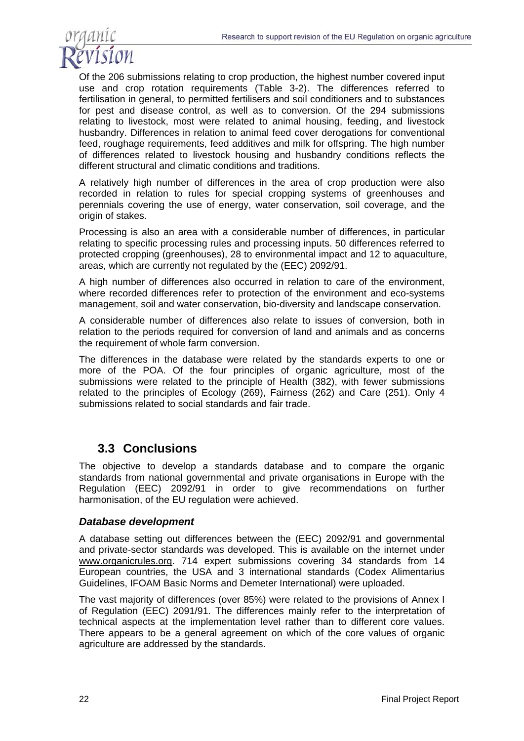

Of the 206 submissions relating to crop production, the highest number covered input use and crop rotation requirements (Table 3-2). The differences referred to fertilisation in general, to permitted fertilisers and soil conditioners and to substances for pest and disease control, as well as to conversion. Of the 294 submissions relating to livestock, most were related to animal housing, feeding, and livestock husbandry. Differences in relation to animal feed cover derogations for conventional feed, roughage requirements, feed additives and milk for offspring. The high number of differences related to livestock housing and husbandry conditions reflects the different structural and climatic conditions and traditions.

A relatively high number of differences in the area of crop production were also recorded in relation to rules for special cropping systems of greenhouses and perennials covering the use of energy, water conservation, soil coverage, and the origin of stakes.

Processing is also an area with a considerable number of differences, in particular relating to specific processing rules and processing inputs. 50 differences referred to protected cropping (greenhouses), 28 to environmental impact and 12 to aquaculture, areas, which are currently not regulated by the (EEC) 2092/91.

A high number of differences also occurred in relation to care of the environment, where recorded differences refer to protection of the environment and eco-systems management, soil and water conservation, bio-diversity and landscape conservation.

A considerable number of differences also relate to issues of conversion, both in relation to the periods required for conversion of land and animals and as concerns the requirement of whole farm conversion.

The differences in the database were related by the standards experts to one or more of the POA. Of the four principles of organic agriculture, most of the submissions were related to the principle of Health (382), with fewer submissions related to the principles of Ecology (269), Fairness (262) and Care (251). Only 4 submissions related to social standards and fair trade.

### **3.3 Conclusions**

The objective to develop a standards database and to compare the organic standards from national governmental and private organisations in Europe with the Regulation (EEC) 2092/91 in order to give recommendations on further harmonisation, of the EU regulation were achieved.

#### *Database development*

A database setting out differences between the (EEC) 2092/91 and governmental and private-sector standards was developed. This is available on the internet under www.organicrules.org. 714 expert submissions covering 34 standards from 14 European countries, the USA and 3 international standards (Codex Alimentarius Guidelines, IFOAM Basic Norms and Demeter International) were uploaded.

The vast majority of differences (over 85%) were related to the provisions of Annex I of Regulation (EEC) 2091/91. The differences mainly refer to the interpretation of technical aspects at the implementation level rather than to different core values. There appears to be a general agreement on which of the core values of organic agriculture are addressed by the standards.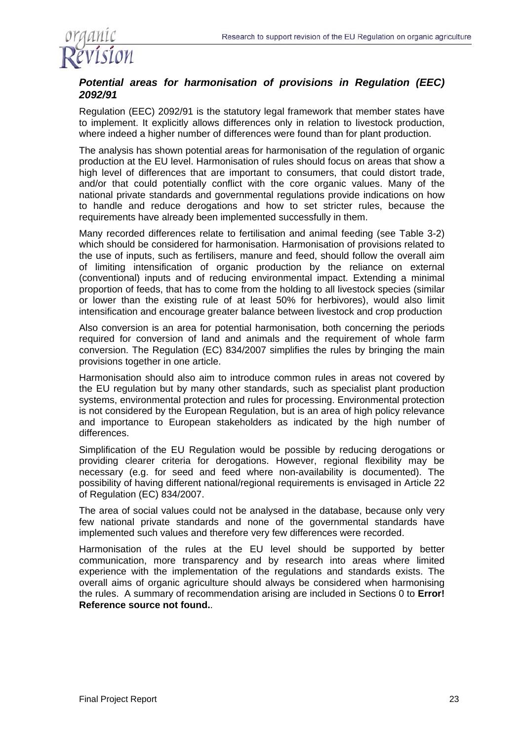

### *Potential areas for harmonisation of provisions in Regulation (EEC) 2092/91*

Regulation (EEC) 2092/91 is the statutory legal framework that member states have to implement. It explicitly allows differences only in relation to livestock production, where indeed a higher number of differences were found than for plant production.

The analysis has shown potential areas for harmonisation of the regulation of organic production at the EU level. Harmonisation of rules should focus on areas that show a high level of differences that are important to consumers, that could distort trade, and/or that could potentially conflict with the core organic values. Many of the national private standards and governmental regulations provide indications on how to handle and reduce derogations and how to set stricter rules, because the requirements have already been implemented successfully in them.

Many recorded differences relate to fertilisation and animal feeding (see Table 3-2) which should be considered for harmonisation. Harmonisation of provisions related to the use of inputs, such as fertilisers, manure and feed, should follow the overall aim of limiting intensification of organic production by the reliance on external (conventional) inputs and of reducing environmental impact. Extending a minimal proportion of feeds, that has to come from the holding to all livestock species (similar or lower than the existing rule of at least 50% for herbivores), would also limit intensification and encourage greater balance between livestock and crop production

Also conversion is an area for potential harmonisation, both concerning the periods required for conversion of land and animals and the requirement of whole farm conversion. The Regulation (EC) 834/2007 simplifies the rules by bringing the main provisions together in one article.

Harmonisation should also aim to introduce common rules in areas not covered by the EU regulation but by many other standards, such as specialist plant production systems, environmental protection and rules for processing. Environmental protection is not considered by the European Regulation, but is an area of high policy relevance and importance to European stakeholders as indicated by the high number of differences.

Simplification of the EU Regulation would be possible by reducing derogations or providing clearer criteria for derogations. However, regional flexibility may be necessary (e.g. for seed and feed where non-availability is documented). The possibility of having different national/regional requirements is envisaged in Article 22 of Regulation (EC) 834/2007.

The area of social values could not be analysed in the database, because only very few national private standards and none of the governmental standards have implemented such values and therefore very few differences were recorded.

Harmonisation of the rules at the EU level should be supported by better communication, more transparency and by research into areas where limited experience with the implementation of the regulations and standards exists. The overall aims of organic agriculture should always be considered when harmonising the rules. A summary of recommendation arising are included in Sections 0 to **Error! Reference source not found.**.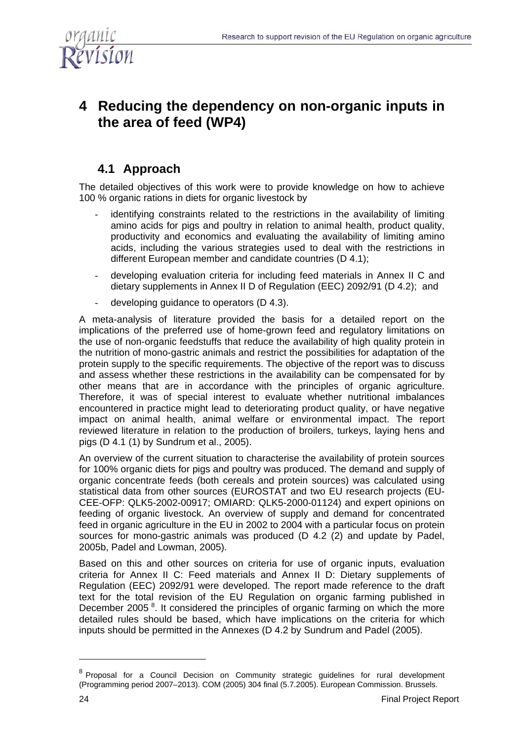

# **4 Reducing the dependency on non-organic inputs in the area of feed (WP4)**

## **4.1 Approach**

The detailed objectives of this work were to provide knowledge on how to achieve 100 % organic rations in diets for organic livestock by

- identifying constraints related to the restrictions in the availability of limiting amino acids for pigs and poultry in relation to animal health, product quality, productivity and economics and evaluating the availability of limiting amino acids, including the various strategies used to deal with the restrictions in different European member and candidate countries (D 4.1);
- developing evaluation criteria for including feed materials in Annex II C and dietary supplements in Annex II D of Regulation (EEC) 2092/91 (D 4.2); and
- developing guidance to operators (D 4.3).

A meta-analysis of literature provided the basis for a detailed report on the implications of the preferred use of home-grown feed and regulatory limitations on the use of non-organic feedstuffs that reduce the availability of high quality protein in the nutrition of mono-gastric animals and restrict the possibilities for adaptation of the protein supply to the specific requirements. The objective of the report was to discuss and assess whether these restrictions in the availability can be compensated for by other means that are in accordance with the principles of organic agriculture. Therefore, it was of special interest to evaluate whether nutritional imbalances encountered in practice might lead to deteriorating product quality, or have negative impact on animal health, animal welfare or environmental impact. The report reviewed literature in relation to the production of broilers, turkeys, laying hens and pigs (D 4.1 (1) by Sundrum et al., 2005).

An overview of the current situation to characterise the availability of protein sources for 100% organic diets for pigs and poultry was produced. The demand and supply of organic concentrate feeds (both cereals and protein sources) was calculated using statistical data from other sources (EUROSTAT and two EU research projects (EU-CEE-OFP: QLK5-2002-00917; OMIARD: QLK5-2000-01124) and expert opinions on feeding of organic livestock. An overview of supply and demand for concentrated feed in organic agriculture in the EU in 2002 to 2004 with a particular focus on protein sources for mono-gastric animals was produced (D 4.2 (2) and update by Padel, 2005b, Padel and Lowman, 2005).

Based on this and other sources on criteria for use of organic inputs, evaluation criteria for Annex II C: Feed materials and Annex II D: Dietary supplements of Regulation (EEC) 2092/91 were developed. The report made reference to the draft text for the total revision of the EU Regulation on organic farming published in December 2005<sup>8</sup>. It considered the principles of organic farming on which the more detailed rules should be based, which have implications on the criteria for which inputs should be permitted in the Annexes (D 4.2 by Sundrum and Padel (2005).

 $\overline{a}$ 

<sup>&</sup>lt;sup>8</sup> Proposal for a Council Decision on Community strategic guidelines for rural development (Programming period 2007–2013). COM (2005) 304 final (5.7.2005). European Commission. Brussels.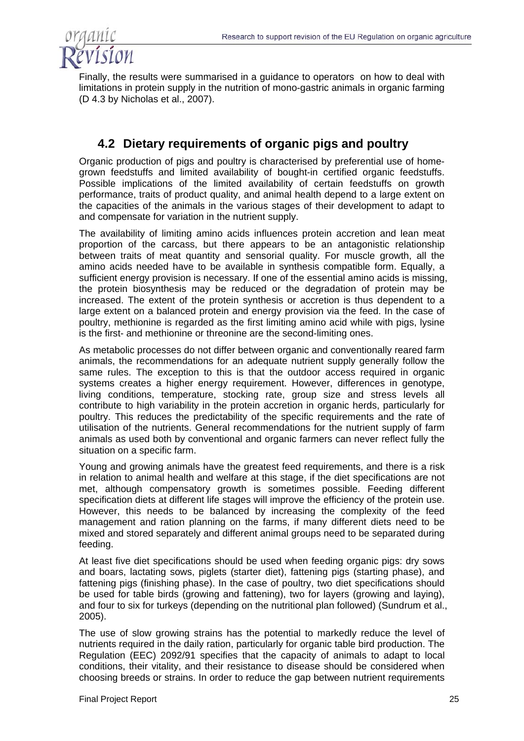

Finally, the results were summarised in a guidance to operators on how to deal with limitations in protein supply in the nutrition of mono-gastric animals in organic farming (D 4.3 by Nicholas et al., 2007).

## **4.2 Dietary requirements of organic pigs and poultry**

Organic production of pigs and poultry is characterised by preferential use of homegrown feedstuffs and limited availability of bought-in certified organic feedstuffs. Possible implications of the limited availability of certain feedstuffs on growth performance, traits of product quality, and animal health depend to a large extent on the capacities of the animals in the various stages of their development to adapt to and compensate for variation in the nutrient supply.

The availability of limiting amino acids influences protein accretion and lean meat proportion of the carcass, but there appears to be an antagonistic relationship between traits of meat quantity and sensorial quality. For muscle growth, all the amino acids needed have to be available in synthesis compatible form. Equally, a sufficient energy provision is necessary. If one of the essential amino acids is missing, the protein biosynthesis may be reduced or the degradation of protein may be increased. The extent of the protein synthesis or accretion is thus dependent to a large extent on a balanced protein and energy provision via the feed. In the case of poultry, methionine is regarded as the first limiting amino acid while with pigs, lysine is the first- and methionine or threonine are the second-limiting ones.

As metabolic processes do not differ between organic and conventionally reared farm animals, the recommendations for an adequate nutrient supply generally follow the same rules. The exception to this is that the outdoor access required in organic systems creates a higher energy requirement. However, differences in genotype, living conditions, temperature, stocking rate, group size and stress levels all contribute to high variability in the protein accretion in organic herds, particularly for poultry. This reduces the predictability of the specific requirements and the rate of utilisation of the nutrients. General recommendations for the nutrient supply of farm animals as used both by conventional and organic farmers can never reflect fully the situation on a specific farm.

Young and growing animals have the greatest feed requirements, and there is a risk in relation to animal health and welfare at this stage, if the diet specifications are not met, although compensatory growth is sometimes possible. Feeding different specification diets at different life stages will improve the efficiency of the protein use. However, this needs to be balanced by increasing the complexity of the feed management and ration planning on the farms, if many different diets need to be mixed and stored separately and different animal groups need to be separated during feeding.

At least five diet specifications should be used when feeding organic pigs: dry sows and boars, lactating sows, piglets (starter diet), fattening pigs (starting phase), and fattening pigs (finishing phase). In the case of poultry, two diet specifications should be used for table birds (growing and fattening), two for layers (growing and laying), and four to six for turkeys (depending on the nutritional plan followed) (Sundrum et al., 2005).

The use of slow growing strains has the potential to markedly reduce the level of nutrients required in the daily ration, particularly for organic table bird production. The Regulation (EEC) 2092/91 specifies that the capacity of animals to adapt to local conditions, their vitality, and their resistance to disease should be considered when choosing breeds or strains. In order to reduce the gap between nutrient requirements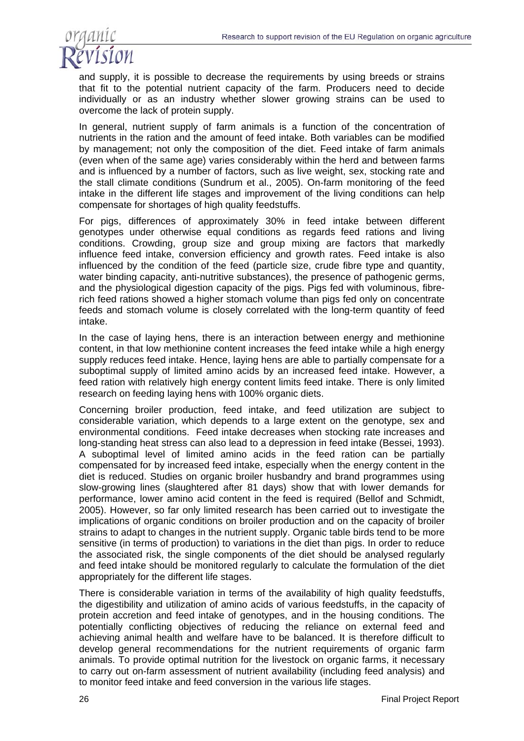

and supply, it is possible to decrease the requirements by using breeds or strains that fit to the potential nutrient capacity of the farm. Producers need to decide individually or as an industry whether slower growing strains can be used to overcome the lack of protein supply.

In general, nutrient supply of farm animals is a function of the concentration of nutrients in the ration and the amount of feed intake. Both variables can be modified by management; not only the composition of the diet. Feed intake of farm animals (even when of the same age) varies considerably within the herd and between farms and is influenced by a number of factors, such as live weight, sex, stocking rate and the stall climate conditions (Sundrum et al., 2005). On-farm monitoring of the feed intake in the different life stages and improvement of the living conditions can help compensate for shortages of high quality feedstuffs.

For pigs, differences of approximately 30% in feed intake between different genotypes under otherwise equal conditions as regards feed rations and living conditions. Crowding, group size and group mixing are factors that markedly influence feed intake, conversion efficiency and growth rates. Feed intake is also influenced by the condition of the feed (particle size, crude fibre type and quantity, water binding capacity, anti-nutritive substances), the presence of pathogenic germs, and the physiological digestion capacity of the pigs. Pigs fed with voluminous, fibrerich feed rations showed a higher stomach volume than pigs fed only on concentrate feeds and stomach volume is closely correlated with the long-term quantity of feed intake.

In the case of laying hens, there is an interaction between energy and methionine content, in that low methionine content increases the feed intake while a high energy supply reduces feed intake. Hence, laying hens are able to partially compensate for a suboptimal supply of limited amino acids by an increased feed intake. However, a feed ration with relatively high energy content limits feed intake. There is only limited research on feeding laying hens with 100% organic diets.

Concerning broiler production, feed intake, and feed utilization are subject to considerable variation, which depends to a large extent on the genotype, sex and environmental conditions. Feed intake decreases when stocking rate increases and long-standing heat stress can also lead to a depression in feed intake (Bessei, 1993). A suboptimal level of limited amino acids in the feed ration can be partially compensated for by increased feed intake, especially when the energy content in the diet is reduced. Studies on organic broiler husbandry and brand programmes using slow-growing lines (slaughtered after 81 days) show that with lower demands for performance, lower amino acid content in the feed is required (Bellof and Schmidt, 2005). However, so far only limited research has been carried out to investigate the implications of organic conditions on broiler production and on the capacity of broiler strains to adapt to changes in the nutrient supply. Organic table birds tend to be more sensitive (in terms of production) to variations in the diet than pigs. In order to reduce the associated risk, the single components of the diet should be analysed regularly and feed intake should be monitored regularly to calculate the formulation of the diet appropriately for the different life stages.

There is considerable variation in terms of the availability of high quality feedstuffs, the digestibility and utilization of amino acids of various feedstuffs, in the capacity of protein accretion and feed intake of genotypes, and in the housing conditions. The potentially conflicting objectives of reducing the reliance on external feed and achieving animal health and welfare have to be balanced. It is therefore difficult to develop general recommendations for the nutrient requirements of organic farm animals. To provide optimal nutrition for the livestock on organic farms, it necessary to carry out on-farm assessment of nutrient availability (including feed analysis) and to monitor feed intake and feed conversion in the various life stages.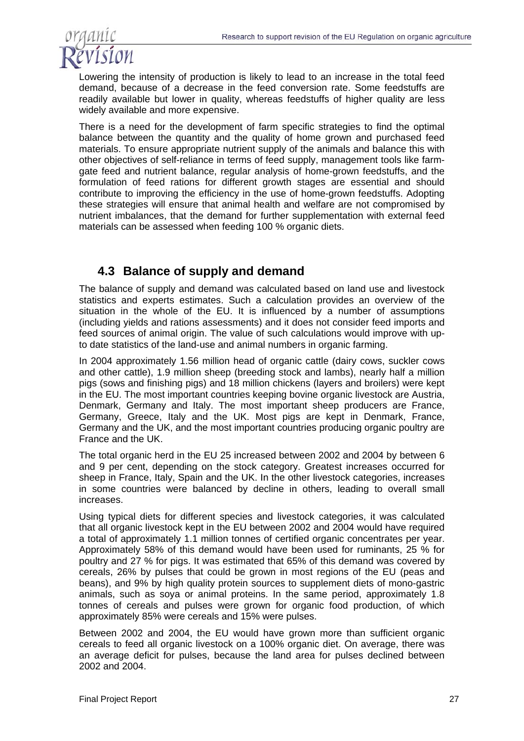

Lowering the intensity of production is likely to lead to an increase in the total feed demand, because of a decrease in the feed conversion rate. Some feedstuffs are readily available but lower in quality, whereas feedstuffs of higher quality are less widely available and more expensive.

There is a need for the development of farm specific strategies to find the optimal balance between the quantity and the quality of home grown and purchased feed materials. To ensure appropriate nutrient supply of the animals and balance this with other objectives of self-reliance in terms of feed supply, management tools like farmgate feed and nutrient balance, regular analysis of home-grown feedstuffs, and the formulation of feed rations for different growth stages are essential and should contribute to improving the efficiency in the use of home-grown feedstuffs. Adopting these strategies will ensure that animal health and welfare are not compromised by nutrient imbalances, that the demand for further supplementation with external feed materials can be assessed when feeding 100 % organic diets.

### **4.3 Balance of supply and demand**

The balance of supply and demand was calculated based on land use and livestock statistics and experts estimates. Such a calculation provides an overview of the situation in the whole of the EU. It is influenced by a number of assumptions (including yields and rations assessments) and it does not consider feed imports and feed sources of animal origin. The value of such calculations would improve with upto date statistics of the land-use and animal numbers in organic farming.

In 2004 approximately 1.56 million head of organic cattle (dairy cows, suckler cows and other cattle), 1.9 million sheep (breeding stock and lambs), nearly half a million pigs (sows and finishing pigs) and 18 million chickens (layers and broilers) were kept in the EU. The most important countries keeping bovine organic livestock are Austria, Denmark, Germany and Italy. The most important sheep producers are France, Germany, Greece, Italy and the UK. Most pigs are kept in Denmark, France, Germany and the UK, and the most important countries producing organic poultry are France and the UK.

The total organic herd in the EU 25 increased between 2002 and 2004 by between 6 and 9 per cent, depending on the stock category. Greatest increases occurred for sheep in France, Italy, Spain and the UK. In the other livestock categories, increases in some countries were balanced by decline in others, leading to overall small increases.

Using typical diets for different species and livestock categories, it was calculated that all organic livestock kept in the EU between 2002 and 2004 would have required a total of approximately 1.1 million tonnes of certified organic concentrates per year. Approximately 58% of this demand would have been used for ruminants, 25 % for poultry and 27 % for pigs. It was estimated that 65% of this demand was covered by cereals, 26% by pulses that could be grown in most regions of the EU (peas and beans), and 9% by high quality protein sources to supplement diets of mono-gastric animals, such as soya or animal proteins. In the same period, approximately 1.8 tonnes of cereals and pulses were grown for organic food production, of which approximately 85% were cereals and 15% were pulses.

Between 2002 and 2004, the EU would have grown more than sufficient organic cereals to feed all organic livestock on a 100% organic diet. On average, there was an average deficit for pulses, because the land area for pulses declined between 2002 and 2004.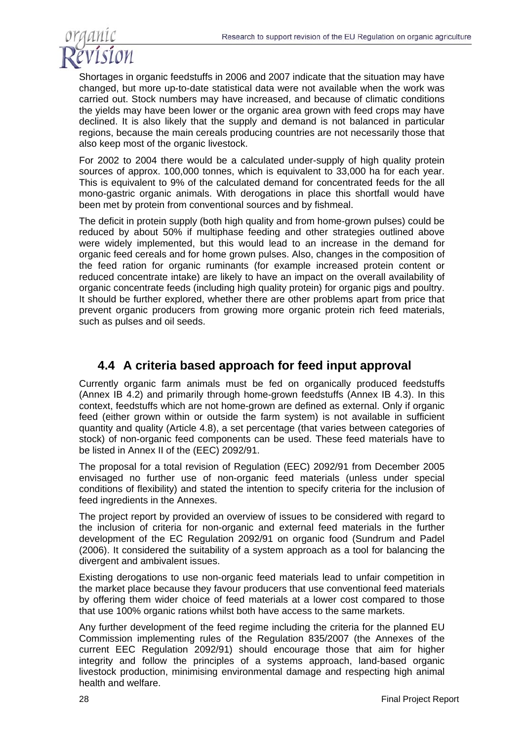

Shortages in organic feedstuffs in 2006 and 2007 indicate that the situation may have changed, but more up-to-date statistical data were not available when the work was carried out. Stock numbers may have increased, and because of climatic conditions the yields may have been lower or the organic area grown with feed crops may have declined. It is also likely that the supply and demand is not balanced in particular regions, because the main cereals producing countries are not necessarily those that also keep most of the organic livestock.

For 2002 to 2004 there would be a calculated under-supply of high quality protein sources of approx. 100,000 tonnes, which is equivalent to 33,000 ha for each year. This is equivalent to 9% of the calculated demand for concentrated feeds for the all mono-gastric organic animals. With derogations in place this shortfall would have been met by protein from conventional sources and by fishmeal.

The deficit in protein supply (both high quality and from home-grown pulses) could be reduced by about 50% if multiphase feeding and other strategies outlined above were widely implemented, but this would lead to an increase in the demand for organic feed cereals and for home grown pulses. Also, changes in the composition of the feed ration for organic ruminants (for example increased protein content or reduced concentrate intake) are likely to have an impact on the overall availability of organic concentrate feeds (including high quality protein) for organic pigs and poultry. It should be further explored, whether there are other problems apart from price that prevent organic producers from growing more organic protein rich feed materials, such as pulses and oil seeds.

## **4.4 A criteria based approach for feed input approval**

Currently organic farm animals must be fed on organically produced feedstuffs (Annex IB 4.2) and primarily through home-grown feedstuffs (Annex IB 4.3). In this context, feedstuffs which are not home-grown are defined as external. Only if organic feed (either grown within or outside the farm system) is not available in sufficient quantity and quality (Article 4.8), a set percentage (that varies between categories of stock) of non-organic feed components can be used. These feed materials have to be listed in Annex II of the (EEC) 2092/91.

The proposal for a total revision of Regulation (EEC) 2092/91 from December 2005 envisaged no further use of non-organic feed materials (unless under special conditions of flexibility) and stated the intention to specify criteria for the inclusion of feed ingredients in the Annexes.

The project report by provided an overview of issues to be considered with regard to the inclusion of criteria for non-organic and external feed materials in the further development of the EC Regulation 2092/91 on organic food (Sundrum and Padel (2006). It considered the suitability of a system approach as a tool for balancing the divergent and ambivalent issues.

Existing derogations to use non-organic feed materials lead to unfair competition in the market place because they favour producers that use conventional feed materials by offering them wider choice of feed materials at a lower cost compared to those that use 100% organic rations whilst both have access to the same markets.

Any further development of the feed regime including the criteria for the planned EU Commission implementing rules of the Regulation 835/2007 (the Annexes of the current EEC Regulation 2092/91) should encourage those that aim for higher integrity and follow the principles of a systems approach, land-based organic livestock production, minimising environmental damage and respecting high animal health and welfare.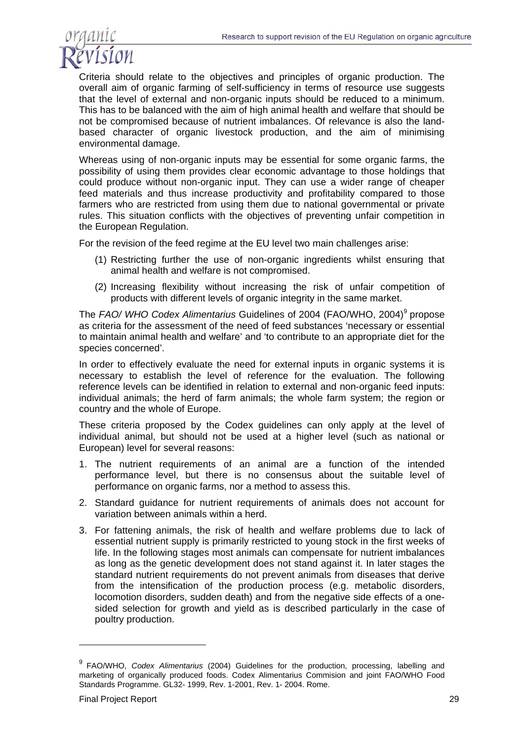

Criteria should relate to the objectives and principles of organic production. The overall aim of organic farming of self-sufficiency in terms of resource use suggests that the level of external and non-organic inputs should be reduced to a minimum. This has to be balanced with the aim of high animal health and welfare that should be not be compromised because of nutrient imbalances. Of relevance is also the landbased character of organic livestock production, and the aim of minimising environmental damage.

Whereas using of non-organic inputs may be essential for some organic farms, the possibility of using them provides clear economic advantage to those holdings that could produce without non-organic input. They can use a wider range of cheaper feed materials and thus increase productivity and profitability compared to those farmers who are restricted from using them due to national governmental or private rules. This situation conflicts with the objectives of preventing unfair competition in the European Regulation.

For the revision of the feed regime at the EU level two main challenges arise:

- (1) Restricting further the use of non-organic ingredients whilst ensuring that animal health and welfare is not compromised.
- (2) Increasing flexibility without increasing the risk of unfair competition of products with different levels of organic integrity in the same market.

The FAO/ WHO Codex Alimentarius Guidelines of 2004 (FAO/WHO, 2004)<sup>9</sup> propose as criteria for the assessment of the need of feed substances 'necessary or essential to maintain animal health and welfare' and 'to contribute to an appropriate diet for the species concerned'.

In order to effectively evaluate the need for external inputs in organic systems it is necessary to establish the level of reference for the evaluation. The following reference levels can be identified in relation to external and non-organic feed inputs: individual animals; the herd of farm animals; the whole farm system; the region or country and the whole of Europe.

These criteria proposed by the Codex guidelines can only apply at the level of individual animal, but should not be used at a higher level (such as national or European) level for several reasons:

- 1. The nutrient requirements of an animal are a function of the intended performance level, but there is no consensus about the suitable level of performance on organic farms, nor a method to assess this.
- 2. Standard guidance for nutrient requirements of animals does not account for variation between animals within a herd.
- 3. For fattening animals, the risk of health and welfare problems due to lack of essential nutrient supply is primarily restricted to young stock in the first weeks of life. In the following stages most animals can compensate for nutrient imbalances as long as the genetic development does not stand against it. In later stages the standard nutrient requirements do not prevent animals from diseases that derive from the intensification of the production process (e.g. metabolic disorders, locomotion disorders, sudden death) and from the negative side effects of a onesided selection for growth and yield as is described particularly in the case of poultry production.

<sup>9</sup> FAO/WHO, *Codex Alimentarius* (2004) Guidelines for the production, processing, labelling and marketing of organically produced foods. Codex Alimentarius Commision and joint FAO/WHO Food Standards Programme. GL32- 1999, Rev. 1-2001, Rev. 1- 2004. Rome.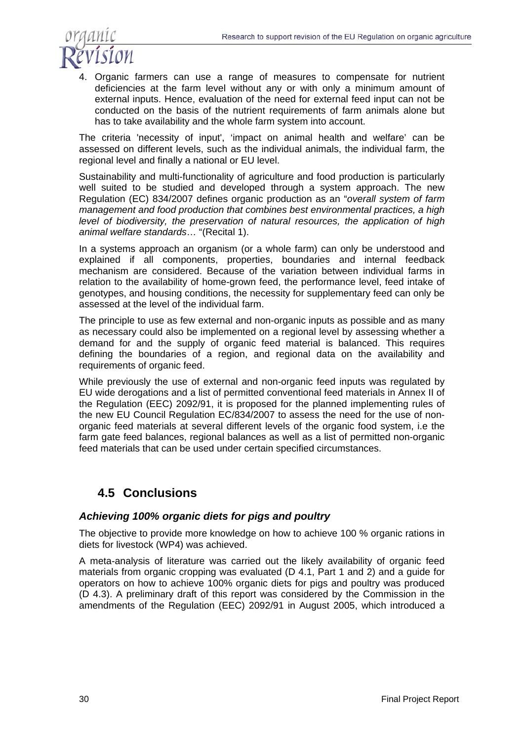

4. Organic farmers can use a range of measures to compensate for nutrient deficiencies at the farm level without any or with only a minimum amount of external inputs. Hence, evaluation of the need for external feed input can not be conducted on the basis of the nutrient requirements of farm animals alone but has to take availability and the whole farm system into account.

The criteria 'necessity of input', 'impact on animal health and welfare' can be assessed on different levels, such as the individual animals, the individual farm, the regional level and finally a national or EU level.

Sustainability and multi-functionality of agriculture and food production is particularly well suited to be studied and developed through a system approach. The new Regulation (EC) 834/2007 defines organic production as an "*overall system of farm management and food production that combines best environmental practices, a high level of biodiversity, the preservation of natural resources, the application of high animal welfare standards*… "(Recital 1).

In a systems approach an organism (or a whole farm) can only be understood and explained if all components, properties, boundaries and internal feedback mechanism are considered. Because of the variation between individual farms in relation to the availability of home-grown feed, the performance level, feed intake of genotypes, and housing conditions, the necessity for supplementary feed can only be assessed at the level of the individual farm.

The principle to use as few external and non-organic inputs as possible and as many as necessary could also be implemented on a regional level by assessing whether a demand for and the supply of organic feed material is balanced. This requires defining the boundaries of a region, and regional data on the availability and requirements of organic feed.

While previously the use of external and non-organic feed inputs was regulated by EU wide derogations and a list of permitted conventional feed materials in Annex II of the Regulation (EEC) 2092/91, it is proposed for the planned implementing rules of the new EU Council Regulation EC/834/2007 to assess the need for the use of nonorganic feed materials at several different levels of the organic food system, i.e the farm gate feed balances, regional balances as well as a list of permitted non-organic feed materials that can be used under certain specified circumstances.

# **4.5 Conclusions**

### *Achieving 100% organic diets for pigs and poultry*

The objective to provide more knowledge on how to achieve 100 % organic rations in diets for livestock (WP4) was achieved.

A meta-analysis of literature was carried out the likely availability of organic feed materials from organic cropping was evaluated (D 4.1, Part 1 and 2) and a guide for operators on how to achieve 100% organic diets for pigs and poultry was produced (D 4.3). A preliminary draft of this report was considered by the Commission in the amendments of the Regulation (EEC) 2092/91 in August 2005, which introduced a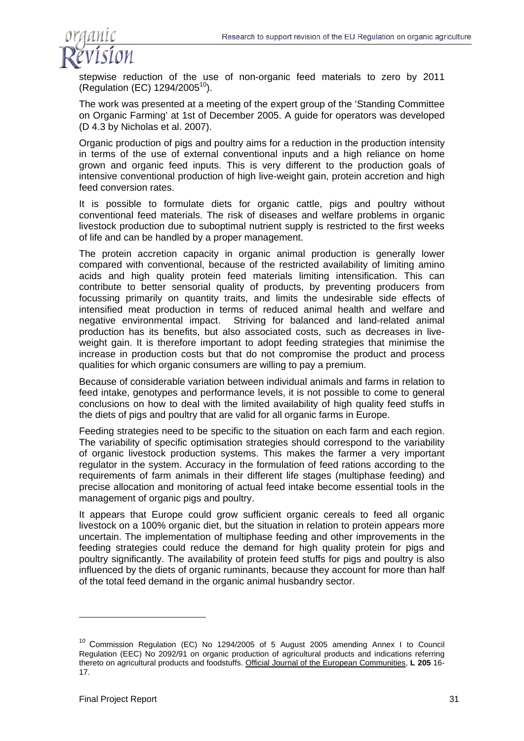

stepwise reduction of the use of non-organic feed materials to zero by 2011 (Regulation (EC)  $1294/2005^{10}$ ).

The work was presented at a meeting of the expert group of the 'Standing Committee on Organic Farming' at 1st of December 2005. A guide for operators was developed (D 4.3 by Nicholas et al. 2007).

Organic production of pigs and poultry aims for a reduction in the production intensity in terms of the use of external conventional inputs and a high reliance on home grown and organic feed inputs. This is very different to the production goals of intensive conventional production of high live-weight gain, protein accretion and high feed conversion rates.

It is possible to formulate diets for organic cattle, pigs and poultry without conventional feed materials. The risk of diseases and welfare problems in organic livestock production due to suboptimal nutrient supply is restricted to the first weeks of life and can be handled by a proper management.

The protein accretion capacity in organic animal production is generally lower compared with conventional, because of the restricted availability of limiting amino acids and high quality protein feed materials limiting intensification. This can contribute to better sensorial quality of products, by preventing producers from focussing primarily on quantity traits, and limits the undesirable side effects of intensified meat production in terms of reduced animal health and welfare and negative environmental impact. Striving for balanced and land-related animal production has its benefits, but also associated costs, such as decreases in liveweight gain. It is therefore important to adopt feeding strategies that minimise the increase in production costs but that do not compromise the product and process qualities for which organic consumers are willing to pay a premium.

Because of considerable variation between individual animals and farms in relation to feed intake, genotypes and performance levels, it is not possible to come to general conclusions on how to deal with the limited availability of high quality feed stuffs in the diets of pigs and poultry that are valid for all organic farms in Europe.

Feeding strategies need to be specific to the situation on each farm and each region. The variability of specific optimisation strategies should correspond to the variability of organic livestock production systems. This makes the farmer a very important regulator in the system. Accuracy in the formulation of feed rations according to the requirements of farm animals in their different life stages (multiphase feeding) and precise allocation and monitoring of actual feed intake become essential tools in the management of organic pigs and poultry.

It appears that Europe could grow sufficient organic cereals to feed all organic livestock on a 100% organic diet, but the situation in relation to protein appears more uncertain. The implementation of multiphase feeding and other improvements in the feeding strategies could reduce the demand for high quality protein for pigs and poultry significantly. The availability of protein feed stuffs for pigs and poultry is also influenced by the diets of organic ruminants, because they account for more than half of the total feed demand in the organic animal husbandry sector.

<sup>10</sup> Commission Regulation (EC) No 1294/2005 of 5 August 2005 amending Annex I to Council Regulation (EEC) No 2092/91 on organic production of agricultural products and indications referring thereto on agricultural products and foodstuffs. Official Journal of the European Communities, **L 205** 16- 17.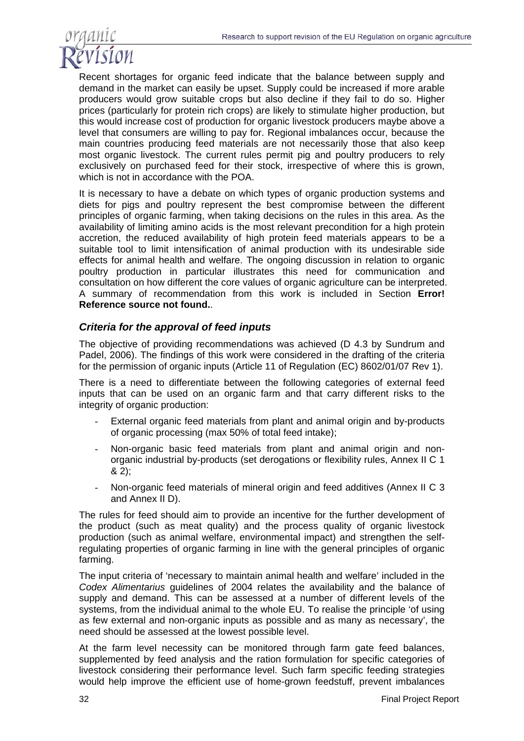

Recent shortages for organic feed indicate that the balance between supply and demand in the market can easily be upset. Supply could be increased if more arable producers would grow suitable crops but also decline if they fail to do so. Higher prices (particularly for protein rich crops) are likely to stimulate higher production, but this would increase cost of production for organic livestock producers maybe above a level that consumers are willing to pay for. Regional imbalances occur, because the main countries producing feed materials are not necessarily those that also keep most organic livestock. The current rules permit pig and poultry producers to rely exclusively on purchased feed for their stock, irrespective of where this is grown, which is not in accordance with the POA.

It is necessary to have a debate on which types of organic production systems and diets for pigs and poultry represent the best compromise between the different principles of organic farming, when taking decisions on the rules in this area. As the availability of limiting amino acids is the most relevant precondition for a high protein accretion, the reduced availability of high protein feed materials appears to be a suitable tool to limit intensification of animal production with its undesirable side effects for animal health and welfare. The ongoing discussion in relation to organic poultry production in particular illustrates this need for communication and consultation on how different the core values of organic agriculture can be interpreted. A summary of recommendation from this work is included in Section **Error! Reference source not found.**.

### *Criteria for the approval of feed inputs*

The objective of providing recommendations was achieved (D 4.3 by Sundrum and Padel, 2006). The findings of this work were considered in the drafting of the criteria for the permission of organic inputs (Article 11 of Regulation (EC) 8602/01/07 Rev 1).

There is a need to differentiate between the following categories of external feed inputs that can be used on an organic farm and that carry different risks to the integrity of organic production:

- External organic feed materials from plant and animal origin and by-products of organic processing (max 50% of total feed intake);
- Non-organic basic feed materials from plant and animal origin and nonorganic industrial by-products (set derogations or flexibility rules, Annex II C 1 & 2);
- Non-organic feed materials of mineral origin and feed additives (Annex II C 3 and Annex II D).

The rules for feed should aim to provide an incentive for the further development of the product (such as meat quality) and the process quality of organic livestock production (such as animal welfare, environmental impact) and strengthen the selfregulating properties of organic farming in line with the general principles of organic farming.

The input criteria of 'necessary to maintain animal health and welfare' included in the *Codex Alimentarius* guidelines of 2004 relates the availability and the balance of supply and demand. This can be assessed at a number of different levels of the systems, from the individual animal to the whole EU. To realise the principle 'of using as few external and non-organic inputs as possible and as many as necessary', the need should be assessed at the lowest possible level.

At the farm level necessity can be monitored through farm gate feed balances, supplemented by feed analysis and the ration formulation for specific categories of livestock considering their performance level. Such farm specific feeding strategies would help improve the efficient use of home-grown feedstuff, prevent imbalances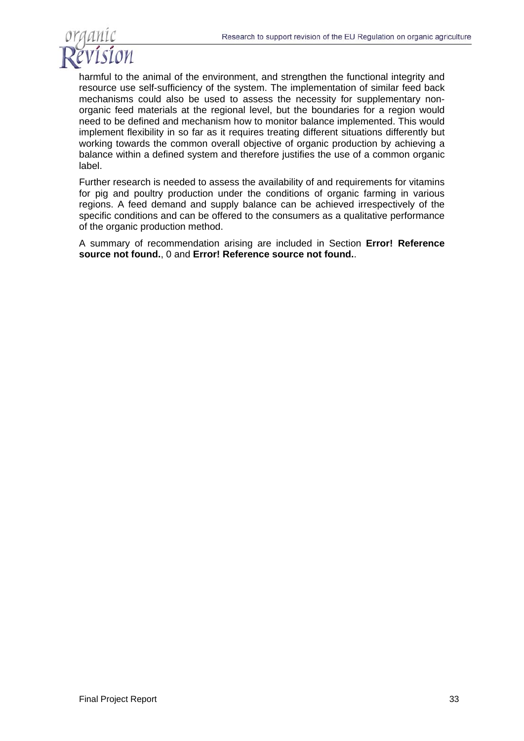

harmful to the animal of the environment, and strengthen the functional integrity and resource use self-sufficiency of the system. The implementation of similar feed back mechanisms could also be used to assess the necessity for supplementary nonorganic feed materials at the regional level, but the boundaries for a region would need to be defined and mechanism how to monitor balance implemented. This would implement flexibility in so far as it requires treating different situations differently but working towards the common overall objective of organic production by achieving a balance within a defined system and therefore justifies the use of a common organic label.

Further research is needed to assess the availability of and requirements for vitamins for pig and poultry production under the conditions of organic farming in various regions. A feed demand and supply balance can be achieved irrespectively of the specific conditions and can be offered to the consumers as a qualitative performance of the organic production method.

A summary of recommendation arising are included in Section **Error! Reference source not found.**, 0 and **Error! Reference source not found.**.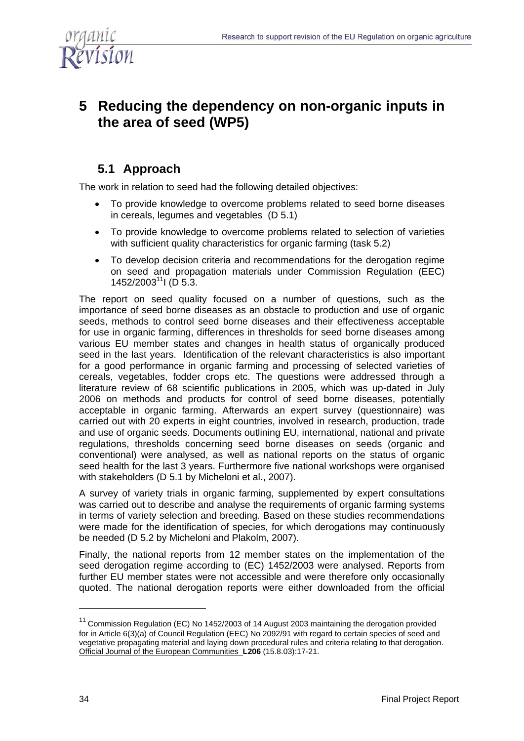

# **5 Reducing the dependency on non-organic inputs in the area of seed (WP5)**

# **5.1 Approach**

The work in relation to seed had the following detailed objectives:

- To provide knowledge to overcome problems related to seed borne diseases in cereals, legumes and vegetables (D 5.1)
- To provide knowledge to overcome problems related to selection of varieties with sufficient quality characteristics for organic farming (task 5.2)
- To develop decision criteria and recommendations for the derogation regime on seed and propagation materials under Commission Regulation (EEC)  $1452/2003^{11}$ I (D 5.3.

The report on seed quality focused on a number of questions, such as the importance of seed borne diseases as an obstacle to production and use of organic seeds, methods to control seed borne diseases and their effectiveness acceptable for use in organic farming, differences in thresholds for seed borne diseases among various EU member states and changes in health status of organically produced seed in the last years. Identification of the relevant characteristics is also important for a good performance in organic farming and processing of selected varieties of cereals, vegetables, fodder crops etc. The questions were addressed through a literature review of 68 scientific publications in 2005, which was up-dated in July 2006 on methods and products for control of seed borne diseases, potentially acceptable in organic farming. Afterwards an expert survey (questionnaire) was carried out with 20 experts in eight countries, involved in research, production, trade and use of organic seeds. Documents outlining EU, international, national and private regulations, thresholds concerning seed borne diseases on seeds (organic and conventional) were analysed, as well as national reports on the status of organic seed health for the last 3 years. Furthermore five national workshops were organised with stakeholders (D 5.1 by Micheloni et al., 2007).

A survey of variety trials in organic farming, supplemented by expert consultations was carried out to describe and analyse the requirements of organic farming systems in terms of variety selection and breeding. Based on these studies recommendations were made for the identification of species, for which derogations may continuously be needed (D 5.2 by Micheloni and Plakolm, 2007).

Finally, the national reports from 12 member states on the implementation of the seed derogation regime according to (EC) 1452/2003 were analysed. Reports from further EU member states were not accessible and were therefore only occasionally quoted. The national derogation reports were either downloaded from the official

<sup>11</sup> Commission Regulation (EC) No 1452/2003 of 14 August 2003 maintaining the derogation provided for in Article 6(3)(a) of Council Regulation (EEC) No 2092/91 with regard to certain species of seed and vegetative propagating material and laying down procedural rules and criteria relating to that derogation. Official Journal of the European Communities **L206** (15.8.03):17-21.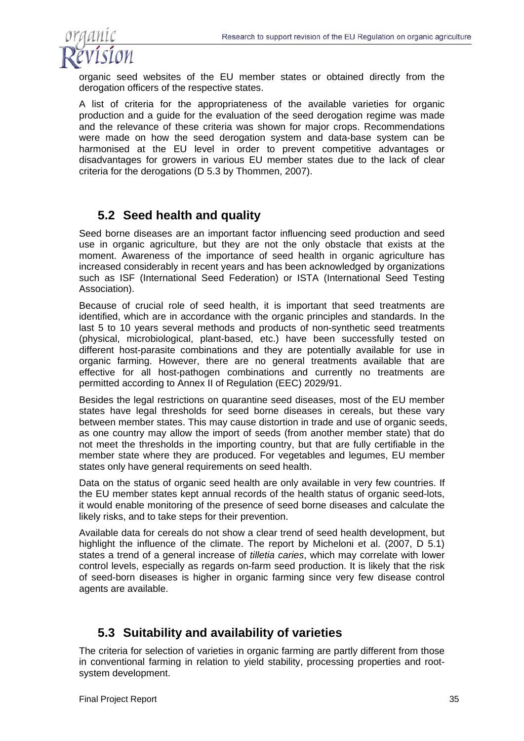

organic seed websites of the EU member states or obtained directly from the derogation officers of the respective states.

A list of criteria for the appropriateness of the available varieties for organic production and a guide for the evaluation of the seed derogation regime was made and the relevance of these criteria was shown for major crops. Recommendations were made on how the seed derogation system and data-base system can be harmonised at the EU level in order to prevent competitive advantages or disadvantages for growers in various EU member states due to the lack of clear criteria for the derogations (D 5.3 by Thommen, 2007).

## **5.2 Seed health and quality**

Seed borne diseases are an important factor influencing seed production and seed use in organic agriculture, but they are not the only obstacle that exists at the moment. Awareness of the importance of seed health in organic agriculture has increased considerably in recent years and has been acknowledged by organizations such as ISF (International Seed Federation) or ISTA (International Seed Testing Association).

Because of crucial role of seed health, it is important that seed treatments are identified, which are in accordance with the organic principles and standards. In the last 5 to 10 years several methods and products of non-synthetic seed treatments (physical, microbiological, plant-based, etc.) have been successfully tested on different host-parasite combinations and they are potentially available for use in organic farming. However, there are no general treatments available that are effective for all host-pathogen combinations and currently no treatments are permitted according to Annex II of Regulation (EEC) 2029/91.

Besides the legal restrictions on quarantine seed diseases, most of the EU member states have legal thresholds for seed borne diseases in cereals, but these vary between member states. This may cause distortion in trade and use of organic seeds, as one country may allow the import of seeds (from another member state) that do not meet the thresholds in the importing country, but that are fully certifiable in the member state where they are produced. For vegetables and legumes, EU member states only have general requirements on seed health.

Data on the status of organic seed health are only available in very few countries. If the EU member states kept annual records of the health status of organic seed-lots, it would enable monitoring of the presence of seed borne diseases and calculate the likely risks, and to take steps for their prevention.

Available data for cereals do not show a clear trend of seed health development, but highlight the influence of the climate. The report by Micheloni et al. (2007, D 5.1) states a trend of a general increase of *tilletia caries*, which may correlate with lower control levels, especially as regards on-farm seed production. It is likely that the risk of seed-born diseases is higher in organic farming since very few disease control agents are available.

## **5.3 Suitability and availability of varieties**

The criteria for selection of varieties in organic farming are partly different from those in conventional farming in relation to yield stability, processing properties and rootsystem development.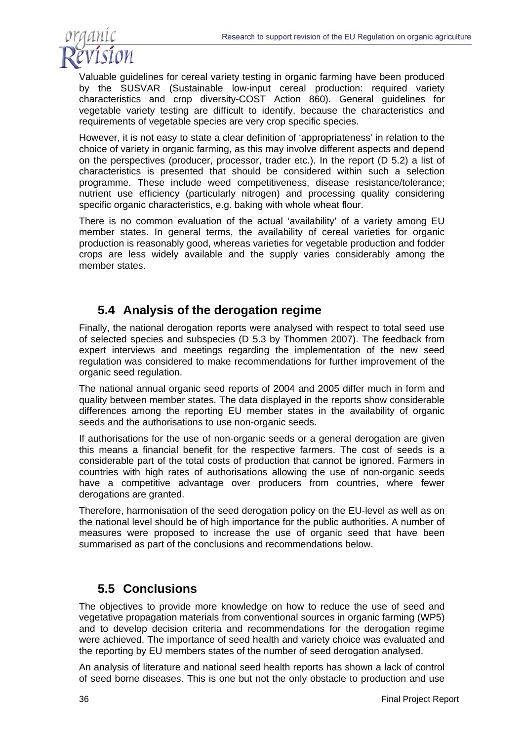

Valuable guidelines for cereal variety testing in organic farming have been produced by the SUSVAR (Sustainable low-input cereal production: required variety characteristics and crop diversity-COST Action 860). General guidelines for vegetable variety testing are difficult to identify, because the characteristics and requirements of vegetable species are very crop specific species.

However, it is not easy to state a clear definition of 'appropriateness' in relation to the choice of variety in organic farming, as this may involve different aspects and depend on the perspectives (producer, processor, trader etc.). In the report (D 5.2) a list of characteristics is presented that should be considered within such a selection programme. These include weed competitiveness, disease resistance/tolerance; nutrient use efficiency (particularly nitrogen) and processing quality considering specific organic characteristics, e.g. baking with whole wheat flour.

There is no common evaluation of the actual 'availability' of a variety among EU member states. In general terms, the availability of cereal varieties for organic production is reasonably good, whereas varieties for vegetable production and fodder crops are less widely available and the supply varies considerably among the member states.

## **5.4 Analysis of the derogation regime**

Finally, the national derogation reports were analysed with respect to total seed use of selected species and subspecies (D 5.3 by Thommen 2007). The feedback from expert interviews and meetings regarding the implementation of the new seed regulation was considered to make recommendations for further improvement of the organic seed regulation.

The national annual organic seed reports of 2004 and 2005 differ much in form and quality between member states. The data displayed in the reports show considerable differences among the reporting EU member states in the availability of organic seeds and the authorisations to use non-organic seeds.

If authorisations for the use of non-organic seeds or a general derogation are given this means a financial benefit for the respective farmers. The cost of seeds is a considerable part of the total costs of production that cannot be ignored. Farmers in countries with high rates of authorisations allowing the use of non-organic seeds have a competitive advantage over producers from countries, where fewer derogations are granted.

Therefore, harmonisation of the seed derogation policy on the EU-level as well as on the national level should be of high importance for the public authorities. A number of measures were proposed to increase the use of organic seed that have been summarised as part of the conclusions and recommendations below.

## **5.5 Conclusions**

The objectives to provide more knowledge on how to reduce the use of seed and vegetative propagation materials from conventional sources in organic farming (WP5) and to develop decision criteria and recommendations for the derogation regime were achieved. The importance of seed health and variety choice was evaluated and the reporting by EU members states of the number of seed derogation analysed.

An analysis of literature and national seed health reports has shown a lack of control of seed borne diseases. This is one but not the only obstacle to production and use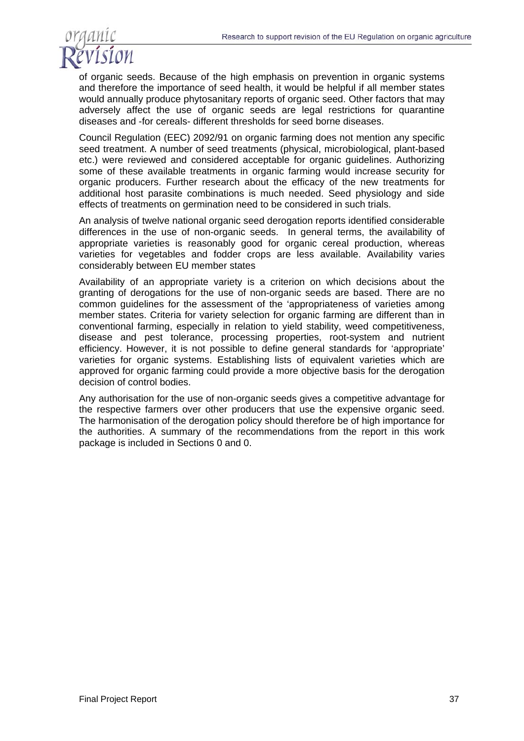

of organic seeds. Because of the high emphasis on prevention in organic systems and therefore the importance of seed health, it would be helpful if all member states would annually produce phytosanitary reports of organic seed. Other factors that may adversely affect the use of organic seeds are legal restrictions for quarantine diseases and -for cereals- different thresholds for seed borne diseases.

Council Regulation (EEC) 2092/91 on organic farming does not mention any specific seed treatment. A number of seed treatments (physical, microbiological, plant-based etc.) were reviewed and considered acceptable for organic guidelines. Authorizing some of these available treatments in organic farming would increase security for organic producers. Further research about the efficacy of the new treatments for additional host parasite combinations is much needed. Seed physiology and side effects of treatments on germination need to be considered in such trials.

An analysis of twelve national organic seed derogation reports identified considerable differences in the use of non-organic seeds. In general terms, the availability of appropriate varieties is reasonably good for organic cereal production, whereas varieties for vegetables and fodder crops are less available. Availability varies considerably between EU member states

Availability of an appropriate variety is a criterion on which decisions about the granting of derogations for the use of non-organic seeds are based. There are no common guidelines for the assessment of the 'appropriateness of varieties among member states. Criteria for variety selection for organic farming are different than in conventional farming, especially in relation to yield stability, weed competitiveness, disease and pest tolerance, processing properties, root-system and nutrient efficiency. However, it is not possible to define general standards for 'appropriate' varieties for organic systems. Establishing lists of equivalent varieties which are approved for organic farming could provide a more objective basis for the derogation decision of control bodies.

Any authorisation for the use of non-organic seeds gives a competitive advantage for the respective farmers over other producers that use the expensive organic seed. The harmonisation of the derogation policy should therefore be of high importance for the authorities. A summary of the recommendations from the report in this work package is included in Sections 0 and 0.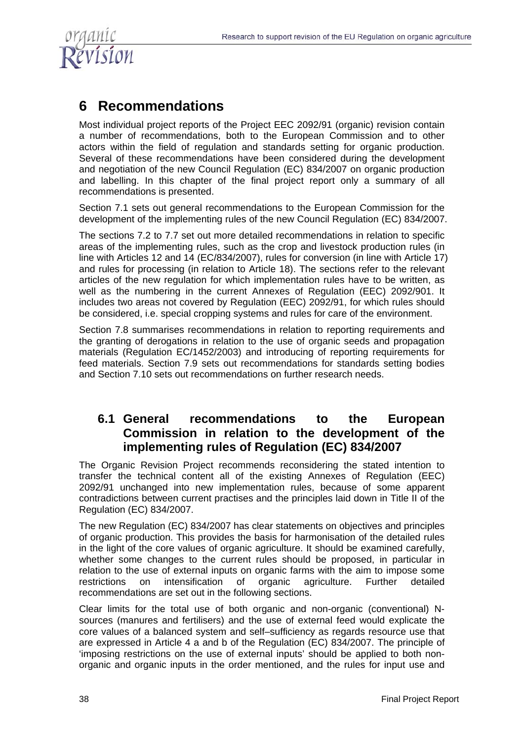

# **6 Recommendations**

Most individual project reports of the Project EEC 2092/91 (organic) revision contain a number of recommendations, both to the European Commission and to other actors within the field of regulation and standards setting for organic production. Several of these recommendations have been considered during the development and negotiation of the new Council Regulation (EC) 834/2007 on organic production and labelling. In this chapter of the final project report only a summary of all recommendations is presented.

Section 7.1 sets out general recommendations to the European Commission for the development of the implementing rules of the new Council Regulation (EC) 834/2007.

The sections 7.2 to 7.7 set out more detailed recommendations in relation to specific areas of the implementing rules, such as the crop and livestock production rules (in line with Articles 12 and 14 (EC/834/2007), rules for conversion (in line with Article 17) and rules for processing (in relation to Article 18). The sections refer to the relevant articles of the new regulation for which implementation rules have to be written, as well as the numbering in the current Annexes of Regulation (EEC) 2092/901. It includes two areas not covered by Regulation (EEC) 2092/91, for which rules should be considered, i.e. special cropping systems and rules for care of the environment.

Section 7.8 summarises recommendations in relation to reporting requirements and the granting of derogations in relation to the use of organic seeds and propagation materials (Regulation EC/1452/2003) and introducing of reporting requirements for feed materials. Section 7.9 sets out recommendations for standards setting bodies and Section 7.10 sets out recommendations on further research needs.

### **6.1 General recommendations to the European Commission in relation to the development of the implementing rules of Regulation (EC) 834/2007**

The Organic Revision Project recommends reconsidering the stated intention to transfer the technical content all of the existing Annexes of Regulation (EEC) 2092/91 unchanged into new implementation rules, because of some apparent contradictions between current practises and the principles laid down in Title II of the Regulation (EC) 834/2007.

The new Regulation (EC) 834/2007 has clear statements on objectives and principles of organic production. This provides the basis for harmonisation of the detailed rules in the light of the core values of organic agriculture. It should be examined carefully, whether some changes to the current rules should be proposed, in particular in relation to the use of external inputs on organic farms with the aim to impose some restrictions on intensification of organic agriculture. Further detailed recommendations are set out in the following sections.

Clear limits for the total use of both organic and non-organic (conventional) Nsources (manures and fertilisers) and the use of external feed would explicate the core values of a balanced system and self–sufficiency as regards resource use that are expressed in Article 4 a and b of the Regulation (EC) 834/2007. The principle of 'imposing restrictions on the use of external inputs' should be applied to both nonorganic and organic inputs in the order mentioned, and the rules for input use and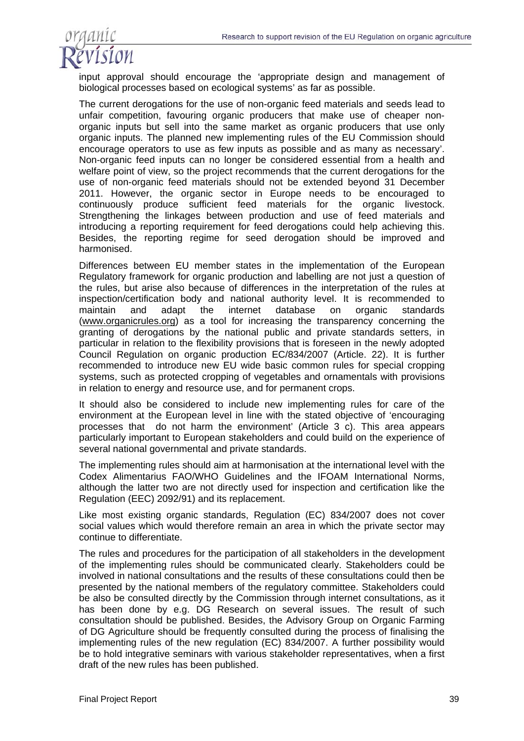

input approval should encourage the 'appropriate design and management of biological processes based on ecological systems' as far as possible.

The current derogations for the use of non-organic feed materials and seeds lead to unfair competition, favouring organic producers that make use of cheaper nonorganic inputs but sell into the same market as organic producers that use only organic inputs. The planned new implementing rules of the EU Commission should encourage operators to use as few inputs as possible and as many as necessary'. Non-organic feed inputs can no longer be considered essential from a health and welfare point of view, so the project recommends that the current derogations for the use of non-organic feed materials should not be extended beyond 31 December 2011. However, the organic sector in Europe needs to be encouraged to continuously produce sufficient feed materials for the organic livestock. Strengthening the linkages between production and use of feed materials and introducing a reporting requirement for feed derogations could help achieving this. Besides, the reporting regime for seed derogation should be improved and harmonised.

Differences between EU member states in the implementation of the European Regulatory framework for organic production and labelling are not just a question of the rules, but arise also because of differences in the interpretation of the rules at inspection/certification body and national authority level. It is recommended to maintain and adapt the internet database on organic standards (www.organicrules.org) as a tool for increasing the transparency concerning the granting of derogations by the national public and private standards setters, in particular in relation to the flexibility provisions that is foreseen in the newly adopted Council Regulation on organic production EC/834/2007 (Article. 22). It is further recommended to introduce new EU wide basic common rules for special cropping systems, such as protected cropping of vegetables and ornamentals with provisions in relation to energy and resource use, and for permanent crops.

It should also be considered to include new implementing rules for care of the environment at the European level in line with the stated objective of 'encouraging processes that do not harm the environment' (Article 3 c). This area appears particularly important to European stakeholders and could build on the experience of several national governmental and private standards.

The implementing rules should aim at harmonisation at the international level with the Codex Alimentarius FAO/WHO Guidelines and the IFOAM International Norms, although the latter two are not directly used for inspection and certification like the Regulation (EEC) 2092/91) and its replacement.

Like most existing organic standards, Regulation (EC) 834/2007 does not cover social values which would therefore remain an area in which the private sector may continue to differentiate.

The rules and procedures for the participation of all stakeholders in the development of the implementing rules should be communicated clearly. Stakeholders could be involved in national consultations and the results of these consultations could then be presented by the national members of the regulatory committee. Stakeholders could be also be consulted directly by the Commission through internet consultations, as it has been done by e.g. DG Research on several issues. The result of such consultation should be published. Besides, the Advisory Group on Organic Farming of DG Agriculture should be frequently consulted during the process of finalising the implementing rules of the new regulation (EC) 834/2007. A further possibility would be to hold integrative seminars with various stakeholder representatives, when a first draft of the new rules has been published.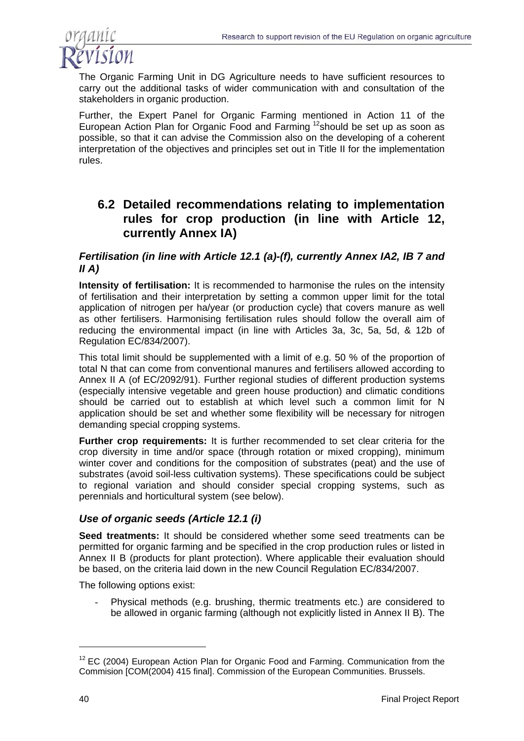

The Organic Farming Unit in DG Agriculture needs to have sufficient resources to carry out the additional tasks of wider communication with and consultation of the stakeholders in organic production.

Further, the Expert Panel for Organic Farming mentioned in Action 11 of the European Action Plan for Organic Food and Farming 12should be set up as soon as possible, so that it can advise the Commission also on the developing of a coherent interpretation of the objectives and principles set out in Title II for the implementation rules.

### **6.2 Detailed recommendations relating to implementation rules for crop production (in line with Article 12, currently Annex IA)**

#### *Fertilisation (in line with Article 12.1 (a)-(f), currently Annex IA2, IB 7 and II A)*

**Intensity of fertilisation:** It is recommended to harmonise the rules on the intensity of fertilisation and their interpretation by setting a common upper limit for the total application of nitrogen per ha/year (or production cycle) that covers manure as well as other fertilisers. Harmonising fertilisation rules should follow the overall aim of reducing the environmental impact (in line with Articles 3a, 3c, 5a, 5d, & 12b of Regulation EC/834/2007).

This total limit should be supplemented with a limit of e.g. 50 % of the proportion of total N that can come from conventional manures and fertilisers allowed according to Annex II A (of EC/2092/91). Further regional studies of different production systems (especially intensive vegetable and green house production) and climatic conditions should be carried out to establish at which level such a common limit for N application should be set and whether some flexibility will be necessary for nitrogen demanding special cropping systems.

**Further crop requirements:** It is further recommended to set clear criteria for the crop diversity in time and/or space (through rotation or mixed cropping), minimum winter cover and conditions for the composition of substrates (peat) and the use of substrates (avoid soil-less cultivation systems). These specifications could be subject to regional variation and should consider special cropping systems, such as perennials and horticultural system (see below).

### *Use of organic seeds (Article 12.1 (i)*

**Seed treatments:** It should be considered whether some seed treatments can be permitted for organic farming and be specified in the crop production rules or listed in Annex II B (products for plant protection). Where applicable their evaluation should be based, on the criteria laid down in the new Council Regulation EC/834/2007.

The following options exist:

- Physical methods (e.g. brushing, thermic treatments etc.) are considered to be allowed in organic farming (although not explicitly listed in Annex II B). The

 $12$  EC (2004) European Action Plan for Organic Food and Farming. Communication from the Commision [COM(2004) 415 final]. Commission of the European Communities. Brussels.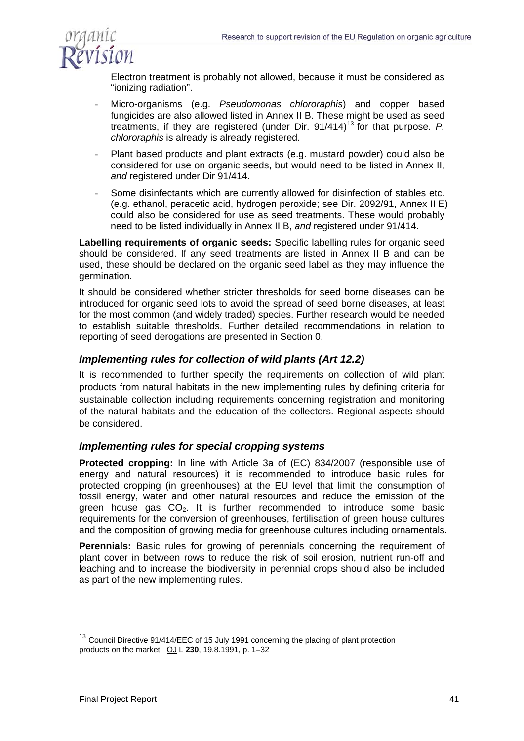

Electron treatment is probably not allowed, because it must be considered as "ionizing radiation".

- Micro-organisms (e.g. *Pseudomonas chlororaphis*) and copper based fungicides are also allowed listed in Annex II B. These might be used as seed treatments, if they are registered (under Dir. 91/414)<sup>13</sup> for that purpose. P. *chlororaphis* is already is already registered.
- Plant based products and plant extracts (e.g. mustard powder) could also be considered for use on organic seeds, but would need to be listed in Annex II, *and* registered under Dir 91/414.
- Some disinfectants which are currently allowed for disinfection of stables etc. (e.g. ethanol, peracetic acid, hydrogen peroxide; see Dir. 2092/91, Annex II E) could also be considered for use as seed treatments. These would probably need to be listed individually in Annex II B, *and* registered under 91/414.

**Labelling requirements of organic seeds:** Specific labelling rules for organic seed should be considered. If any seed treatments are listed in Annex II B and can be used, these should be declared on the organic seed label as they may influence the germination.

It should be considered whether stricter thresholds for seed borne diseases can be introduced for organic seed lots to avoid the spread of seed borne diseases, at least for the most common (and widely traded) species. Further research would be needed to establish suitable thresholds. Further detailed recommendations in relation to reporting of seed derogations are presented in Section 0.

#### *Implementing rules for collection of wild plants (Art 12.2)*

It is recommended to further specify the requirements on collection of wild plant products from natural habitats in the new implementing rules by defining criteria for sustainable collection including requirements concerning registration and monitoring of the natural habitats and the education of the collectors. Regional aspects should be considered.

#### *Implementing rules for special cropping systems*

**Protected cropping:** In line with Article 3a of (EC) 834/2007 (responsible use of energy and natural resources) it is recommended to introduce basic rules for protected cropping (in greenhouses) at the EU level that limit the consumption of fossil energy, water and other natural resources and reduce the emission of the green house gas  $CO<sub>2</sub>$ . It is further recommended to introduce some basic requirements for the conversion of greenhouses, fertilisation of green house cultures and the composition of growing media for greenhouse cultures including ornamentals.

**Perennials:** Basic rules for growing of perennials concerning the requirement of plant cover in between rows to reduce the risk of soil erosion, nutrient run-off and leaching and to increase the biodiversity in perennial crops should also be included as part of the new implementing rules.

<sup>&</sup>lt;sup>13</sup> Council Directive 91/414/EEC of 15 July 1991 concerning the placing of plant protection products on the market. OJ L **230**, 19.8.1991, p. 1–32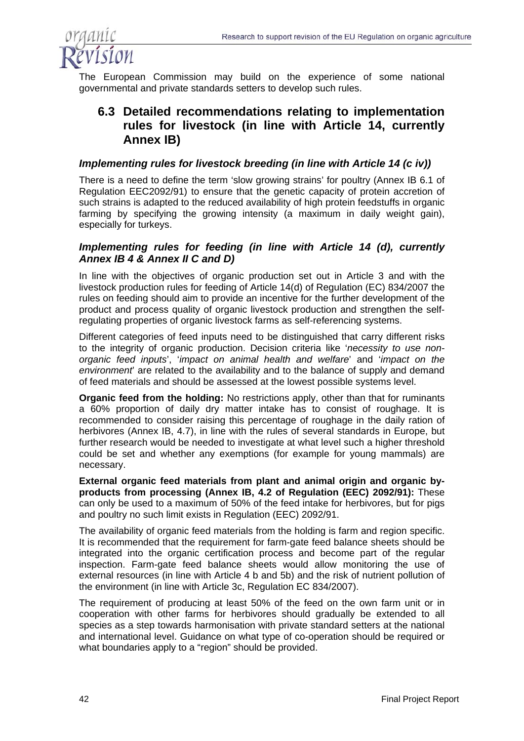

The European Commission may build on the experience of some national governmental and private standards setters to develop such rules.

### **6.3 Detailed recommendations relating to implementation rules for livestock (in line with Article 14, currently Annex IB)**

#### *Implementing rules for livestock breeding (in line with Article 14 (c iv))*

There is a need to define the term 'slow growing strains' for poultry (Annex IB 6.1 of Regulation EEC2092/91) to ensure that the genetic capacity of protein accretion of such strains is adapted to the reduced availability of high protein feedstuffs in organic farming by specifying the growing intensity (a maximum in daily weight gain), especially for turkeys.

#### *Implementing rules for feeding (in line with Article 14 (d), currently Annex IB 4 & Annex II C and D)*

In line with the objectives of organic production set out in Article 3 and with the livestock production rules for feeding of Article 14(d) of Regulation (EC) 834/2007 the rules on feeding should aim to provide an incentive for the further development of the product and process quality of organic livestock production and strengthen the selfregulating properties of organic livestock farms as self-referencing systems.

Different categories of feed inputs need to be distinguished that carry different risks to the integrity of organic production. Decision criteria like '*necessity to use nonorganic feed inputs*', '*impact on animal health and welfare*' and '*impact on the environment*' are related to the availability and to the balance of supply and demand of feed materials and should be assessed at the lowest possible systems level.

**Organic feed from the holding:** No restrictions apply, other than that for ruminants a 60% proportion of daily dry matter intake has to consist of roughage. It is recommended to consider raising this percentage of roughage in the daily ration of herbivores (Annex IB, 4.7), in line with the rules of several standards in Europe, but further research would be needed to investigate at what level such a higher threshold could be set and whether any exemptions (for example for young mammals) are necessary.

**External organic feed materials from plant and animal origin and organic byproducts from processing (Annex IB, 4.2 of Regulation (EEC) 2092/91):** These can only be used to a maximum of 50% of the feed intake for herbivores, but for pigs and poultry no such limit exists in Regulation (EEC) 2092/91.

The availability of organic feed materials from the holding is farm and region specific. It is recommended that the requirement for farm-gate feed balance sheets should be integrated into the organic certification process and become part of the regular inspection. Farm-gate feed balance sheets would allow monitoring the use of external resources (in line with Article 4 b and 5b) and the risk of nutrient pollution of the environment (in line with Article 3c, Regulation EC 834/2007).

The requirement of producing at least 50% of the feed on the own farm unit or in cooperation with other farms for herbivores should gradually be extended to all species as a step towards harmonisation with private standard setters at the national and international level. Guidance on what type of co-operation should be required or what boundaries apply to a "region" should be provided.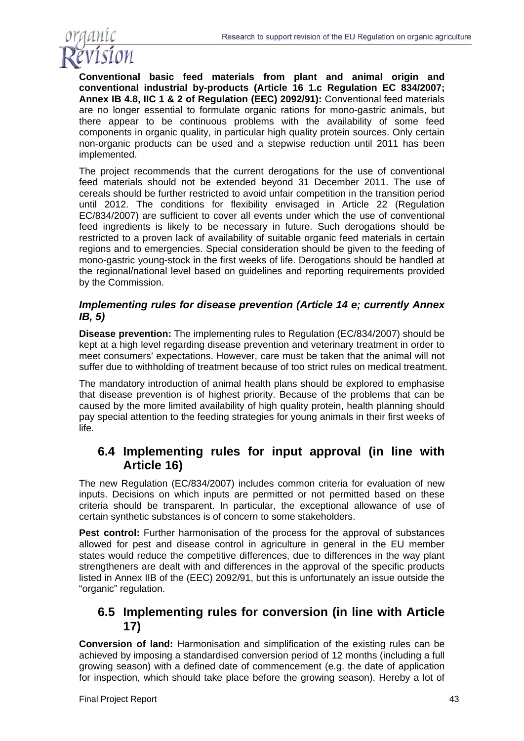

**Conventional basic feed materials from plant and animal origin and conventional industrial by-products (Article 16 1.c Regulation EC 834/2007; Annex IB 4.8, IIC 1 & 2 of Regulation (EEC) 2092/91):** Conventional feed materials are no longer essential to formulate organic rations for mono-gastric animals, but there appear to be continuous problems with the availability of some feed components in organic quality, in particular high quality protein sources. Only certain non-organic products can be used and a stepwise reduction until 2011 has been implemented.

The project recommends that the current derogations for the use of conventional feed materials should not be extended beyond 31 December 2011. The use of cereals should be further restricted to avoid unfair competition in the transition period until 2012. The conditions for flexibility envisaged in Article 22 (Regulation EC/834/2007) are sufficient to cover all events under which the use of conventional feed ingredients is likely to be necessary in future. Such derogations should be restricted to a proven lack of availability of suitable organic feed materials in certain regions and to emergencies. Special consideration should be given to the feeding of mono-gastric young-stock in the first weeks of life. Derogations should be handled at the regional/national level based on guidelines and reporting requirements provided by the Commission.

#### *Implementing rules for disease prevention (Article 14 e; currently Annex IB, 5)*

**Disease prevention:** The implementing rules to Regulation (EC/834/2007) should be kept at a high level regarding disease prevention and veterinary treatment in order to meet consumers' expectations. However, care must be taken that the animal will not suffer due to withholding of treatment because of too strict rules on medical treatment.

The mandatory introduction of animal health plans should be explored to emphasise that disease prevention is of highest priority. Because of the problems that can be caused by the more limited availability of high quality protein, health planning should pay special attention to the feeding strategies for young animals in their first weeks of life.

### **6.4 Implementing rules for input approval (in line with Article 16)**

The new Regulation (EC/834/2007) includes common criteria for evaluation of new inputs. Decisions on which inputs are permitted or not permitted based on these criteria should be transparent. In particular, the exceptional allowance of use of certain synthetic substances is of concern to some stakeholders.

**Pest control:** Further harmonisation of the process for the approval of substances allowed for pest and disease control in agriculture in general in the EU member states would reduce the competitive differences, due to differences in the way plant strengtheners are dealt with and differences in the approval of the specific products listed in Annex IIB of the (EEC) 2092/91, but this is unfortunately an issue outside the "organic" regulation.

## **6.5 Implementing rules for conversion (in line with Article 17)**

**Conversion of land:** Harmonisation and simplification of the existing rules can be achieved by imposing a standardised conversion period of 12 months (including a full growing season) with a defined date of commencement (e.g. the date of application for inspection, which should take place before the growing season). Hereby a lot of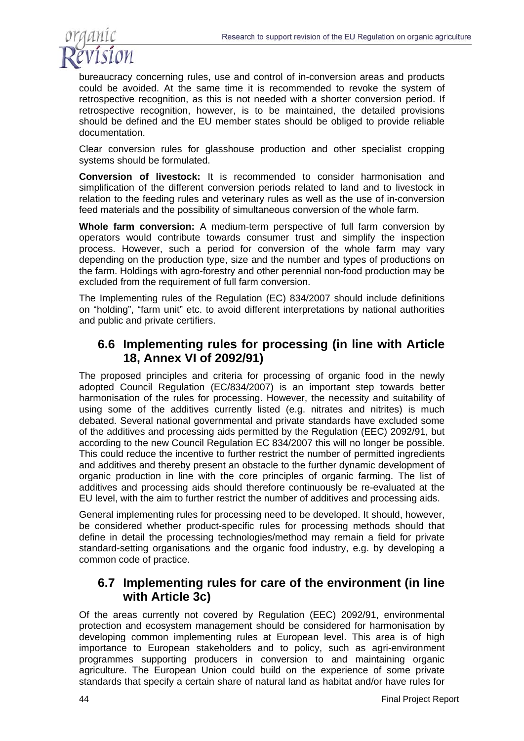

bureaucracy concerning rules, use and control of in-conversion areas and products could be avoided. At the same time it is recommended to revoke the system of retrospective recognition, as this is not needed with a shorter conversion period. If retrospective recognition, however, is to be maintained, the detailed provisions should be defined and the EU member states should be obliged to provide reliable documentation.

Clear conversion rules for glasshouse production and other specialist cropping systems should be formulated.

**Conversion of livestock:** It is recommended to consider harmonisation and simplification of the different conversion periods related to land and to livestock in relation to the feeding rules and veterinary rules as well as the use of in-conversion feed materials and the possibility of simultaneous conversion of the whole farm.

**Whole farm conversion:** A medium-term perspective of full farm conversion by operators would contribute towards consumer trust and simplify the inspection process. However, such a period for conversion of the whole farm may vary depending on the production type, size and the number and types of productions on the farm. Holdings with agro-forestry and other perennial non-food production may be excluded from the requirement of full farm conversion.

The Implementing rules of the Regulation (EC) 834/2007 should include definitions on "holding", "farm unit" etc. to avoid different interpretations by national authorities and public and private certifiers.

### **6.6 Implementing rules for processing (in line with Article 18, Annex VI of 2092/91)**

The proposed principles and criteria for processing of organic food in the newly adopted Council Regulation (EC/834/2007) is an important step towards better harmonisation of the rules for processing. However, the necessity and suitability of using some of the additives currently listed (e.g. nitrates and nitrites) is much debated. Several national governmental and private standards have excluded some of the additives and processing aids permitted by the Regulation (EEC) 2092/91, but according to the new Council Regulation EC 834/2007 this will no longer be possible. This could reduce the incentive to further restrict the number of permitted ingredients and additives and thereby present an obstacle to the further dynamic development of organic production in line with the core principles of organic farming. The list of additives and processing aids should therefore continuously be re-evaluated at the EU level, with the aim to further restrict the number of additives and processing aids.

General implementing rules for processing need to be developed. It should, however, be considered whether product-specific rules for processing methods should that define in detail the processing technologies/method may remain a field for private standard-setting organisations and the organic food industry, e.g. by developing a common code of practice.

### **6.7 Implementing rules for care of the environment (in line with Article 3c)**

Of the areas currently not covered by Regulation (EEC) 2092/91, environmental protection and ecosystem management should be considered for harmonisation by developing common implementing rules at European level. This area is of high importance to European stakeholders and to policy, such as agri-environment programmes supporting producers in conversion to and maintaining organic agriculture. The European Union could build on the experience of some private standards that specify a certain share of natural land as habitat and/or have rules for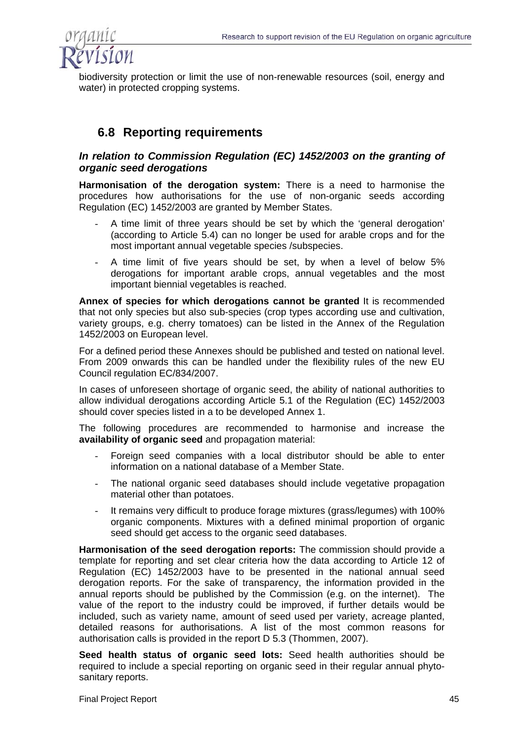

biodiversity protection or limit the use of non-renewable resources (soil, energy and water) in protected cropping systems.

### **6.8 Reporting requirements**

#### *In relation to Commission Regulation (EC) 1452/2003 on the granting of organic seed derogations*

**Harmonisation of the derogation system:** There is a need to harmonise the procedures how authorisations for the use of non-organic seeds according Regulation (EC) 1452/2003 are granted by Member States.

- A time limit of three years should be set by which the 'general derogation' (according to Article 5.4) can no longer be used for arable crops and for the most important annual vegetable species /subspecies.
- A time limit of five years should be set, by when a level of below 5% derogations for important arable crops, annual vegetables and the most important biennial vegetables is reached.

**Annex of species for which derogations cannot be granted** It is recommended that not only species but also sub-species (crop types according use and cultivation, variety groups, e.g. cherry tomatoes) can be listed in the Annex of the Regulation 1452/2003 on European level.

For a defined period these Annexes should be published and tested on national level. From 2009 onwards this can be handled under the flexibility rules of the new EU Council regulation EC/834/2007.

In cases of unforeseen shortage of organic seed, the ability of national authorities to allow individual derogations according Article 5.1 of the Regulation (EC) 1452/2003 should cover species listed in a to be developed Annex 1.

The following procedures are recommended to harmonise and increase the **availability of organic seed** and propagation material:

- Foreign seed companies with a local distributor should be able to enter information on a national database of a Member State.
- The national organic seed databases should include vegetative propagation material other than potatoes.
- It remains very difficult to produce forage mixtures (grass/legumes) with 100% organic components. Mixtures with a defined minimal proportion of organic seed should get access to the organic seed databases.

**Harmonisation of the seed derogation reports:** The commission should provide a template for reporting and set clear criteria how the data according to Article 12 of Regulation (EC) 1452/2003 have to be presented in the national annual seed derogation reports. For the sake of transparency, the information provided in the annual reports should be published by the Commission (e.g. on the internet). The value of the report to the industry could be improved, if further details would be included, such as variety name, amount of seed used per variety, acreage planted, detailed reasons for authorisations. A list of the most common reasons for authorisation calls is provided in the report D 5.3 (Thommen, 2007).

**Seed health status of organic seed lots:** Seed health authorities should be required to include a special reporting on organic seed in their regular annual phytosanitary reports.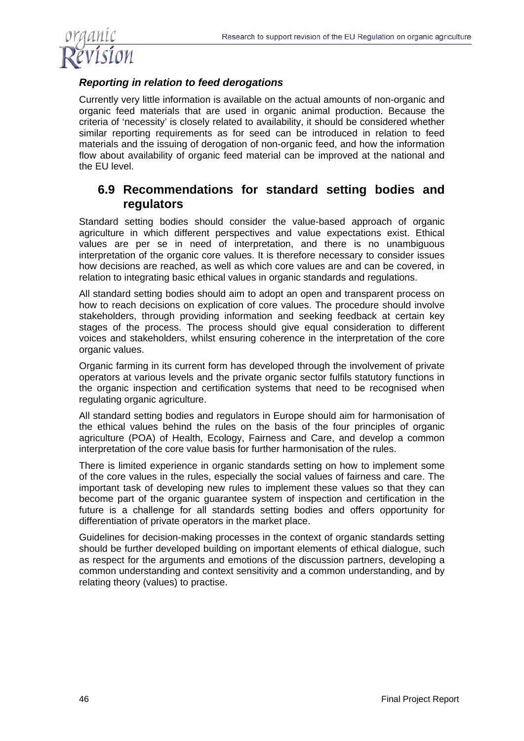

### *Reporting in relation to feed derogations*

Currently very little information is available on the actual amounts of non-organic and organic feed materials that are used in organic animal production. Because the criteria of 'necessity' is closely related to availability, it should be considered whether similar reporting requirements as for seed can be introduced in relation to feed materials and the issuing of derogation of non-organic feed, and how the information flow about availability of organic feed material can be improved at the national and the EU level.

### **6.9 Recommendations for standard setting bodies and regulators**

Standard setting bodies should consider the value-based approach of organic agriculture in which different perspectives and value expectations exist. Ethical values are per se in need of interpretation, and there is no unambiguous interpretation of the organic core values. It is therefore necessary to consider issues how decisions are reached, as well as which core values are and can be covered, in relation to integrating basic ethical values in organic standards and regulations.

All standard setting bodies should aim to adopt an open and transparent process on how to reach decisions on explication of core values. The procedure should involve stakeholders, through providing information and seeking feedback at certain key stages of the process. The process should give equal consideration to different voices and stakeholders, whilst ensuring coherence in the interpretation of the core organic values.

Organic farming in its current form has developed through the involvement of private operators at various levels and the private organic sector fulfils statutory functions in the organic inspection and certification systems that need to be recognised when regulating organic agriculture.

All standard setting bodies and regulators in Europe should aim for harmonisation of the ethical values behind the rules on the basis of the four principles of organic agriculture (POA) of Health, Ecology, Fairness and Care, and develop a common interpretation of the core value basis for further harmonisation of the rules.

There is limited experience in organic standards setting on how to implement some of the core values in the rules, especially the social values of fairness and care. The important task of developing new rules to implement these values so that they can become part of the organic guarantee system of inspection and certification in the future is a challenge for all standards setting bodies and offers opportunity for differentiation of private operators in the market place.

Guidelines for decision-making processes in the context of organic standards setting should be further developed building on important elements of ethical dialogue, such as respect for the arguments and emotions of the discussion partners, developing a common understanding and context sensitivity and a common understanding, and by relating theory (values) to practise.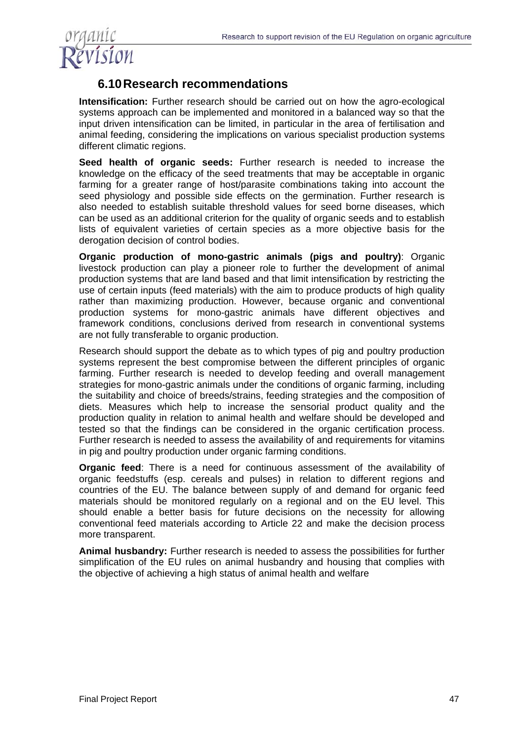

### **6.10 Research recommendations**

**Intensification:** Further research should be carried out on how the agro-ecological systems approach can be implemented and monitored in a balanced way so that the input driven intensification can be limited, in particular in the area of fertilisation and animal feeding, considering the implications on various specialist production systems different climatic regions.

**Seed health of organic seeds:** Further research is needed to increase the knowledge on the efficacy of the seed treatments that may be acceptable in organic farming for a greater range of host/parasite combinations taking into account the seed physiology and possible side effects on the germination. Further research is also needed to establish suitable threshold values for seed borne diseases, which can be used as an additional criterion for the quality of organic seeds and to establish lists of equivalent varieties of certain species as a more objective basis for the derogation decision of control bodies.

**Organic production of mono-gastric animals (pigs and poultry)**: Organic livestock production can play a pioneer role to further the development of animal production systems that are land based and that limit intensification by restricting the use of certain inputs (feed materials) with the aim to produce products of high quality rather than maximizing production. However, because organic and conventional production systems for mono-gastric animals have different objectives and framework conditions, conclusions derived from research in conventional systems are not fully transferable to organic production.

Research should support the debate as to which types of pig and poultry production systems represent the best compromise between the different principles of organic farming. Further research is needed to develop feeding and overall management strategies for mono-gastric animals under the conditions of organic farming, including the suitability and choice of breeds/strains, feeding strategies and the composition of diets. Measures which help to increase the sensorial product quality and the production quality in relation to animal health and welfare should be developed and tested so that the findings can be considered in the organic certification process. Further research is needed to assess the availability of and requirements for vitamins in pig and poultry production under organic farming conditions.

**Organic feed**: There is a need for continuous assessment of the availability of organic feedstuffs (esp. cereals and pulses) in relation to different regions and countries of the EU. The balance between supply of and demand for organic feed materials should be monitored regularly on a regional and on the EU level. This should enable a better basis for future decisions on the necessity for allowing conventional feed materials according to Article 22 and make the decision process more transparent.

**Animal husbandry:** Further research is needed to assess the possibilities for further simplification of the EU rules on animal husbandry and housing that complies with the objective of achieving a high status of animal health and welfare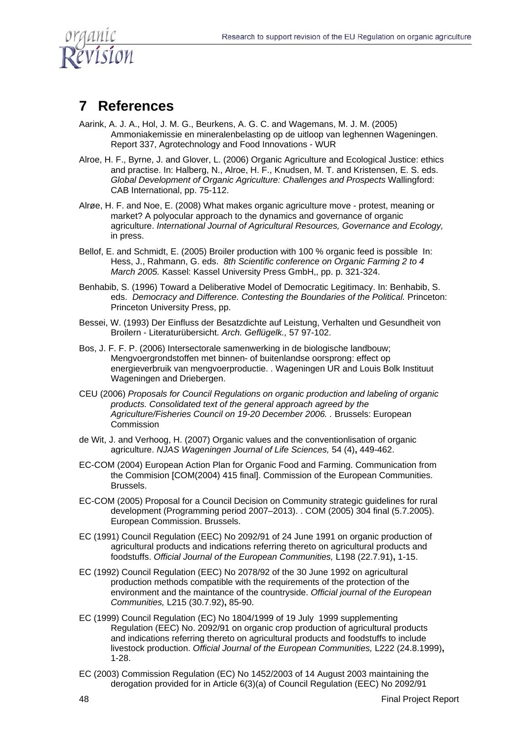

# **7 References**

- Aarink, A. J. A., Hol, J. M. G., Beurkens, A. G. C. and Wagemans, M. J. M. (2005) Ammoniakemissie en mineralenbelasting op de uitloop van leghennen Wageningen. Report 337, Agrotechnology and Food Innovations - WUR
- Alroe, H. F., Byrne, J. and Glover, L. (2006) Organic Agriculture and Ecological Justice: ethics and practise. In: Halberg, N., Alroe, H. F., Knudsen, M. T. and Kristensen, E. S. eds. *Global Development of Organic Agriculture: Challenges and Prospects* Wallingford: CAB International, pp. 75-112.
- Alrøe, H. F. and Noe, E. (2008) What makes organic agriculture move protest, meaning or market? A polyocular approach to the dynamics and governance of organic agriculture. *International Journal of Agricultural Resources, Governance and Ecology,* in press.
- Bellof, E. and Schmidt, E. (2005) Broiler production with 100 % organic feed is possible In: Hess, J., Rahmann, G. eds. *8th Scientific conference on Organic Farming 2 to 4 March 2005.* Kassel: Kassel University Press GmbH,, pp. p. 321-324.
- Benhabib, S. (1996) Toward a Deliberative Model of Democratic Legitimacy. In: Benhabib, S. eds. *Democracy and Difference. Contesting the Boundaries of the Political. Princeton:* Princeton University Press, pp.
- Bessei, W. (1993) Der Einfluss der Besatzdichte auf Leistung, Verhalten und Gesundheit von Broilern - Literaturübersicht. *Arch. Geflügelk.,* 57 97-102.
- Bos, J. F. F. P. (2006) Intersectorale samenwerking in de biologische landbouw; Mengvoergrondstoffen met binnen- of buitenlandse oorsprong: effect op energieverbruik van mengvoerproductie. . Wageningen UR and Louis Bolk Instituut Wageningen and Driebergen.
- CEU (2006) *Proposals for Council Regulations on organic production and labeling of organic products. Consolidated text of the general approach agreed by the Agriculture/Fisheries Council on 19-20 December 2006. .* Brussels: European Commission
- de Wit, J. and Verhoog, H. (2007) Organic values and the conventionlisation of organic agriculture. *NJAS Wageningen Journal of Life Sciences,* 54 (4)**,** 449-462.
- EC-COM (2004) European Action Plan for Organic Food and Farming. Communication from the Commision [COM(2004) 415 final]. Commission of the European Communities. Brussels.
- EC-COM (2005) Proposal for a Council Decision on Community strategic guidelines for rural development (Programming period 2007–2013). . COM (2005) 304 final (5.7.2005). European Commission. Brussels.
- EC (1991) Council Regulation (EEC) No 2092/91 of 24 June 1991 on organic production of agricultural products and indications referring thereto on agricultural products and foodstuffs. *Official Journal of the European Communities,* L198 (22.7.91)**,** 1-15.
- EC (1992) Council Regulation (EEC) No 2078/92 of the 30 June 1992 on agricultural production methods compatible with the requirements of the protection of the environment and the maintance of the countryside. *Official journal of the European Communities,* L215 (30.7.92)**,** 85-90.
- EC (1999) Council Regulation (EC) No 1804/1999 of 19 July 1999 supplementing Regulation (EEC) No. 2092/91 on organic crop production of agricultural products and indications referring thereto on agricultural products and foodstuffs to include livestock production. *Official Journal of the European Communities,* L222 (24.8.1999)**,** 1-28.
- EC (2003) Commission Regulation (EC) No 1452/2003 of 14 August 2003 maintaining the derogation provided for in Article 6(3)(a) of Council Regulation (EEC) No 2092/91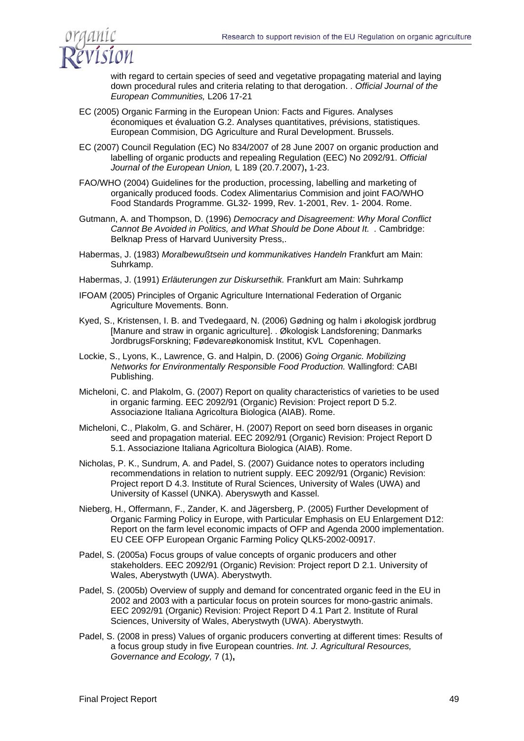

with regard to certain species of seed and vegetative propagating material and laying down procedural rules and criteria relating to that derogation. . *Official Journal of the European Communities,* L206 17-21

- EC (2005) Organic Farming in the European Union: Facts and Figures. Analyses économiques et évaluation G.2. Analyses quantitatives, prévisions, statistiques. European Commision, DG Agriculture and Rural Development. Brussels.
- EC (2007) Council Regulation (EC) No 834/2007 of 28 June 2007 on organic production and labelling of organic products and repealing Regulation (EEC) No 2092/91. *Official Journal of the European Union,* L 189 (20.7.2007)**,** 1-23.
- FAO/WHO (2004) Guidelines for the production, processing, labelling and marketing of organically produced foods. Codex Alimentarius Commision and joint FAO/WHO Food Standards Programme. GL32- 1999, Rev. 1-2001, Rev. 1- 2004. Rome.
- Gutmann, A. and Thompson, D. (1996) *Democracy and Disagreement: Why Moral Conflict Cannot Be Avoided in Politics, and What Should be Done About It. .* Cambridge: Belknap Press of Harvard Uuniversity Press,.
- Habermas, J. (1983) *Moralbewußtsein und kommunikatives Handeln* Frankfurt am Main: Suhrkamp.
- Habermas, J. (1991) *Erläuterungen zur Diskursethik.* Frankfurt am Main: Suhrkamp
- IFOAM (2005) Principles of Organic Agriculture International Federation of Organic Agriculture Movements. Bonn.
- Kyed, S., Kristensen, I. B. and Tvedegaard, N. (2006) Gødning og halm i økologisk jordbrug [Manure and straw in organic agriculture]. . Økologisk Landsforening; Danmarks JordbrugsForskning; Fødevareøkonomisk Institut, KVL Copenhagen.
- Lockie, S., Lyons, K., Lawrence, G. and Halpin, D. (2006) *Going Organic. Mobilizing Networks for Environmentally Responsible Food Production.* Wallingford: CABI Publishing.
- Micheloni, C. and Plakolm, G. (2007) Report on quality characteristics of varieties to be used in organic farming. EEC 2092/91 (Organic) Revision: Project report D 5.2. Associazione Italiana Agricoltura Biologica (AIAB). Rome.
- Micheloni, C., Plakolm, G. and Schärer, H. (2007) Report on seed born diseases in organic seed and propagation material. EEC 2092/91 (Organic) Revision: Project Report D 5.1. Associazione Italiana Agricoltura Biologica (AIAB). Rome.
- Nicholas, P. K., Sundrum, A. and Padel, S. (2007) Guidance notes to operators including recommendations in relation to nutrient supply. EEC 2092/91 (Organic) Revision: Project report D 4.3. Institute of Rural Sciences, University of Wales (UWA) and University of Kassel (UNKA). Aberyswyth and Kassel.
- Nieberg, H., Offermann, F., Zander, K. and Jägersberg, P. (2005) Further Development of Organic Farming Policy in Europe, with Particular Emphasis on EU Enlargement D12: Report on the farm level economic impacts of OFP and Agenda 2000 implementation. EU CEE OFP European Organic Farming Policy QLK5-2002-00917.
- Padel, S. (2005a) Focus groups of value concepts of organic producers and other stakeholders. EEC 2092/91 (Organic) Revision: Project report D 2.1. University of Wales, Aberystwyth (UWA). Aberystwyth.
- Padel, S. (2005b) Overview of supply and demand for concentrated organic feed in the EU in 2002 and 2003 with a particular focus on protein sources for mono-gastric animals. EEC 2092/91 (Organic) Revision: Project Report D 4.1 Part 2. Institute of Rural Sciences, University of Wales, Aberystwyth (UWA). Aberystwyth.
- Padel, S. (2008 in press) Values of organic producers converting at different times: Results of a focus group study in five European countries. *Int. J. Agricultural Resources, Governance and Ecology,* 7 (1)**,**